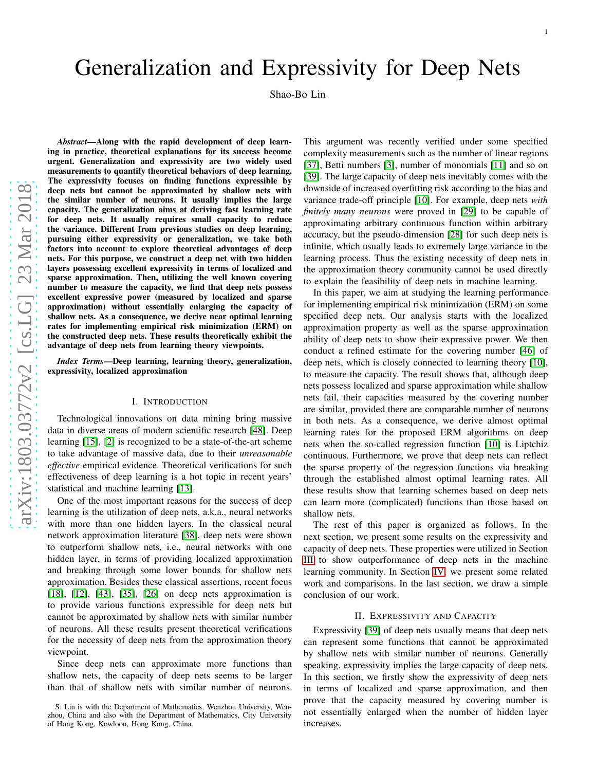# Generalization and Expressivity for Deep Nets

Shao-Bo Lin

*Abstract*—Along with the rapid development of deep learning in practice, theoretical explanations for its success become urgent. Generalization and expressivity are two widely use d measurements to quantify theoretical behaviors of deep learning. The expressivity focuses on finding functions expressible b y deep nets but cannot be approximated by shallow nets with the similar number of neurons. It usually implies the large capacity. The generalization aims at deriving fast learning rate for deep nets. It usually requires small capacity to reduce the variance. Different from previous studies on deep learning, pursuing either expressivity or generalization, we take both factors into account to explore theoretical advantages of deep nets. For this purpose, we construct a deep net with two hidde n layers possessing excellent expressivity in terms of localized and sparse approximation. Then, utilizing the well known covering number to measure the capacity, we find that deep nets possess excellent expressive power (measured by localized and sparse approximation) without essentially enlarging the capacity of shallow nets. As a consequence, we derive near optimal learning rates for implementing empirical risk minimization (ERM) o n the constructed deep nets. These results theoretically exhibit the advantage of deep nets from learning theory viewpoints.

*Index Terms*—Deep learning, learning theory, generalization, expressivity, localized approximation

# I. INTRODUCTION

Technological innovations on data mining bring massive data in diverse areas of modern scientific research [\[48\]](#page-13-0). Dee p learning [\[15\]](#page-13-1), [\[2\]](#page-12-0) is recognized to be a state-of-the-art scheme to take advantage of massive data, due to their *unreasonable effective* empirical evidence. Theoretical verifications for such effectiveness of deep learning is a hot topic in recent years ' statistical and machine learning [\[13\]](#page-13-2).

One of the most important reasons for the success of deep learning is the utilization of deep nets, a.k.a., neural networks with more than one hidden layers. In the classical neural network approximation literature [\[38\]](#page-13-3), deep nets were show n to outperform shallow nets, i.e., neural networks with one hidden layer, in terms of providing localized approximatio n and breaking through some lower bounds for shallow nets approximation. Besides these classical assertions, recent focus [\[18\]](#page-13-4), [\[12\]](#page-13-5), [\[43\]](#page-13-6), [\[35\]](#page-13-7), [\[26\]](#page-13-8) on deep nets approximation is to provide various functions expressible for deep nets but cannot be approximated by shallow nets with similar number of neurons. All these results present theoretical verifications for the necessity of deep nets from the approximation theory viewpoint.

Since deep nets can approximate more functions than shallow nets, the capacity of deep nets seems to be larger than that of shallow nets with similar number of neurons.

This argument was recently verified under some specified complexity measurements such as the number of linear region s [\[37\]](#page-13-9), Betti numbers [\[3\]](#page-12-1), number of monomials [\[11\]](#page-13-10) and so on [\[39\]](#page-13-11). The large capacity of deep nets inevitably comes with the downside of increased overfitting risk according to the bias and variance trade-off principle [\[10\]](#page-13-12). For example, deep nets *with finitely many neurons* were proved in [\[29\]](#page-13-13) to be capable of approximating arbitrary continuous function within arbitrary accuracy, but the pseudo-dimension [\[28\]](#page-13-14) for such deep nets i s infinite, which usually leads to extremely large variance in the learning process. Thus the existing necessity of deep nets i n the approximation theory community cannot be used directly to explain the feasibility of deep nets in machine learning.

In this paper, we aim at studying the learning performance for implementing empirical risk minimization (ERM) on some specified deep nets. Our analysis starts with the localized approximation property as well as the sparse approximation ability of deep nets to show their expressive power. We then conduct a refined estimate for the covering number [\[46\]](#page-13-15) of deep nets, which is closely connected to learning theory [\[10\]](#page-13-12), to measure the capacity. The result shows that, although dee p nets possess localized and sparse approximation while shallow nets fail, their capacities measured by the covering number are similar, provided there are comparable number of neuron s in both nets. As a consequence, we derive almost optimal learning rates for the proposed ERM algorithms on deep nets when the so-called regression function [\[10\]](#page-13-12) is Liptchi z continuous. Furthermore, we prove that deep nets can reflect the sparse property of the regression functions via breakin g through the established almost optimal learning rates. All these results show that learning schemes based on deep nets can learn more (complicated) functions than those based on shallow nets.

The rest of this paper is organized as follows. In the next section, we present some results on the expressivity an d capacity of deep nets. These properties were utilized in Section [III](#page-4-0) to show outperformance of deep nets in the machine learning community. In Section [IV,](#page-5-0) we present some related work and comparisons. In the last section, we draw a simple conclusion of our work.

# II. EXPRESSIVITY AND CAPACITY

Expressivity [\[39\]](#page-13-11) of deep nets usually means that deep nets can represent some functions that cannot be approximated by shallow nets with similar number of neurons. Generally speaking, expressivity implies the large capacity of deep nets. In this section, we firstly show the expressivity of deep nets in terms of localized and sparse approximation, and then prove that the capacity measured by covering number is not essentially enlarged when the number of hidden layer increases.

S. Lin is with the Department of Mathematics, Wenzhou University, Wenzhou, China and also with the Department of Mathematics, City University of Hong Kong, Kowloon, Hong Kong, China.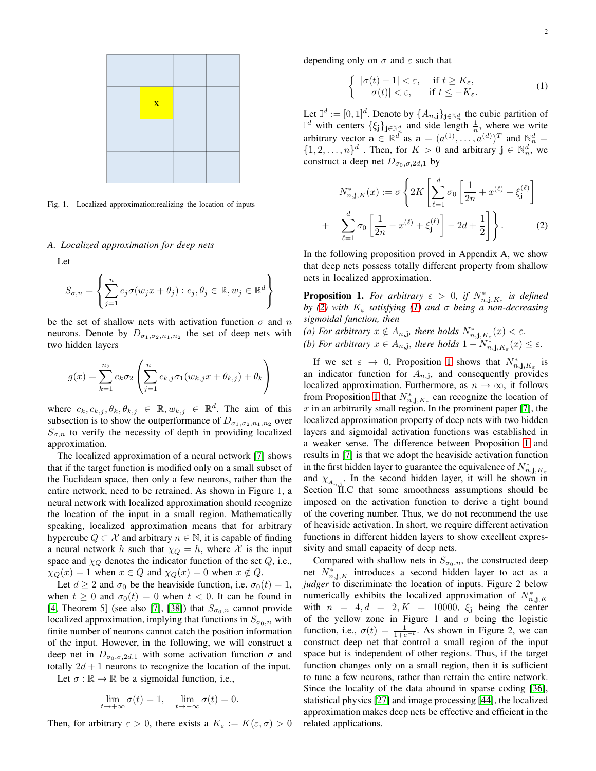

Fig. 1. Localized approximation:realizing the location of inputs

#### *A. Localized approximation for deep nets*

Let

$$
S_{\sigma,n} = \left\{ \sum_{j=1}^{n} c_j \sigma(w_j x + \theta_j) : c_j, \theta_j \in \mathbb{R}, w_j \in \mathbb{R}^d \right\}
$$

be the set of shallow nets with activation function  $\sigma$  and n neurons. Denote by  $D_{\sigma_1, \sigma_2, n_1, n_2}$  the set of deep nets with two hidden layers

$$
g(x) = \sum_{k=1}^{n_2} c_k \sigma_2 \left( \sum_{j=1}^{n_1} c_{k,j} \sigma_1(w_{k,j} x + \theta_{k,j}) + \theta_k \right)
$$

where  $c_k, c_{k,j}, \theta_k, \theta_{k,j} \in \mathbb{R}, w_{k,j} \in \mathbb{R}^d$ . The aim of this subsection is to show the outperformance of  $D_{\sigma_1,\sigma_2,n_1,n_2}$  over  $S_{\sigma,n}$  to verify the necessity of depth in providing localized approximation.

The localized approximation of a neural network [\[7\]](#page-12-2) shows that if the target function is modified only on a small subset of the Euclidean space, then only a few neurons, rather than the entire network, need to be retrained. As shown in Figure 1, a neural network with localized approximation should recognize the location of the input in a small region. Mathematically speaking, localized approximation means that for arbitrary hypercube  $Q \subset \mathcal{X}$  and arbitrary  $n \in \mathbb{N}$ , it is capable of finding a neural network h such that  $\chi_Q = h$ , where X is the input space and  $\chi_Q$  denotes the indicator function of the set  $Q$ , i.e.,  $\chi_Q(x) = 1$  when  $x \in Q$  and  $\chi_Q(x) = 0$  when  $x \notin Q$ .

Let  $d \ge 2$  and  $\sigma_0$  be the heaviside function, i.e.  $\sigma_0(t) = 1$ , when  $t \geq 0$  and  $\sigma_0(t) = 0$  when  $t < 0$ . It can be found in [\[4,](#page-12-3) Theorem 5] (see also [\[7\]](#page-12-2), [\[38\]](#page-13-3)) that  $S_{\sigma_0,n}$  cannot provide localized approximation, implying that functions in  $S_{\sigma_0,n}$  with finite number of neurons cannot catch the position information of the input. However, in the following, we will construct a deep net in  $D_{\sigma_0, \sigma, 2d, 1}$  with some activation function  $\sigma$  and totally  $2d + 1$  neurons to recognize the location of the input.

Let  $\sigma : \mathbb{R} \to \mathbb{R}$  be a sigmoidal function, i.e.,

$$
\lim_{t \to +\infty} \sigma(t) = 1, \quad \lim_{t \to -\infty} \sigma(t) = 0.
$$

Then, for arbitrary  $\varepsilon > 0$ , there exists a  $K_{\varepsilon} := K(\varepsilon, \sigma) > 0$ 

depending only on  $\sigma$  and  $\varepsilon$  such that

<span id="page-1-1"></span>
$$
\begin{cases} |\sigma(t) - 1| < \varepsilon, \quad \text{if } t \ge K_{\varepsilon}, \\ |\sigma(t)| < \varepsilon, \quad \text{if } t \le -K_{\varepsilon}. \end{cases} \tag{1}
$$

Let  $\mathbb{I}^d := [0,1]^d$ . Denote by  $\{A_{n,j}\}_{j \in \mathbb{N}_n^d}$  the cubic partition of  $\mathbb{I}^d$  with centers  $\{\xi_j\}_{j\in\mathbb{N}_n^d}$  and side length  $\frac{1}{n}$ , where we write arbitrary vector  $\mathbf{a} \in \mathbb{R}^{d^*}$  as  $\mathbf{a} = (a^{(1)}, \dots, a^{(d)})^T$  and  $\mathbb{N}_n^d =$  $\{1, 2, \ldots, n\}^d$ . Then, for  $K > 0$  and arbitrary  $\mathbf{j} \in \mathbb{N}_n^d$ , we construct a deep net  $D_{\sigma_0, \sigma, 2d, 1}$  by

<span id="page-1-0"></span>
$$
N_{n,\mathbf{j},K}^{*}(x) := \sigma \left\{ 2K \left[ \sum_{\ell=1}^{d} \sigma_{0} \left[ \frac{1}{2n} + x^{(\ell)} - \xi_{\mathbf{j}}^{(\ell)} \right] \right] + \sum_{\ell=1}^{d} \sigma_{0} \left[ \frac{1}{2n} - x^{(\ell)} + \xi_{\mathbf{j}}^{(\ell)} \right] - 2d + \frac{1}{2} \right] \right\}.
$$
 (2)

In the following proposition proved in Appendix A, we show that deep nets possess totally different property from shallow nets in localized approximation.

<span id="page-1-2"></span>**Proposition 1.** For arbitrary  $\varepsilon > 0$ , if  $N^*_{n, \mathbf{j}, K_{\varepsilon}}$  is defined *by* [\(2\)](#page-1-0) with  $K_{\epsilon}$  *satisfying* [\(1\)](#page-1-1) and σ being a non-decreasing *sigmoidal function, then*

(a) For arbitrary  $x \notin A_{n,j}$ , there holds  $N_{n,j,K_{\varepsilon}}^*(x) < \varepsilon$ . *(b)* For arbitrary  $x \in A_{n,\mathbf{j}}$ , there holds  $1 - N_{n,\mathbf{j},K_{\varepsilon}}^*(x) \leq \varepsilon$ .

If we set  $\varepsilon \to 0$ , Proposition [1](#page-1-2) shows that  $N_{n,j,K_{\varepsilon}}^*$  is an indicator function for  $A_{n,j}$ , and consequently provides localized approximation. Furthermore, as  $n \to \infty$ , it follows from Proposition [1](#page-1-2) that  $N_{n,j,K_{\varepsilon}}^*$  can recognize the location of  $x$  in an arbitrarily small region. In the prominent paper [\[7\]](#page-12-2), the localized approximation property of deep nets with two hidden layers and sigmoidal activation functions was established in a weaker sense. The difference between Proposition [1](#page-1-2) and results in [\[7\]](#page-12-2) is that we adopt the heaviside activation function in the first hidden layer to guarantee the equivalence of  $N^*_{n,j,K_{\varepsilon}}$ and  $\chi_{A_{n,j}}$ . In the second hidden layer, it will be shown in Section II.C that some smoothness assumptions should be imposed on the activation function to derive a tight bound of the covering number. Thus, we do not recommend the use of heaviside activation. In short, we require different activation functions in different hidden layers to show excellent expressivity and small capacity of deep nets.

Compared with shallow nets in  $S_{\sigma_0,n}$ , the constructed deep net  $N^*_{n,j,K}$  introduces a second hidden layer to act as a *judger* to discriminate the location of inputs. Figure 2 below numerically exhibits the localized approximation of  $N_{n,j,K}^*$ with  $n = 4, d = 2, K = 10000, \xi_j$  being the center of the yellow zone in Figure 1 and  $\sigma$  being the logistic function, i.e.,  $\sigma(t) = \frac{1}{1+e^{-t}}$ . As shown in Figure 2, we can construct deep net that control a small region of the input space but is independent of other regions. Thus, if the target function changes only on a small region, then it is sufficient to tune a few neurons, rather than retrain the entire network. Since the locality of the data abound in sparse coding [\[36\]](#page-13-16), statistical physics [\[27\]](#page-13-17) and image processing [\[44\]](#page-13-18), the localized approximation makes deep nets be effective and efficient in the related applications.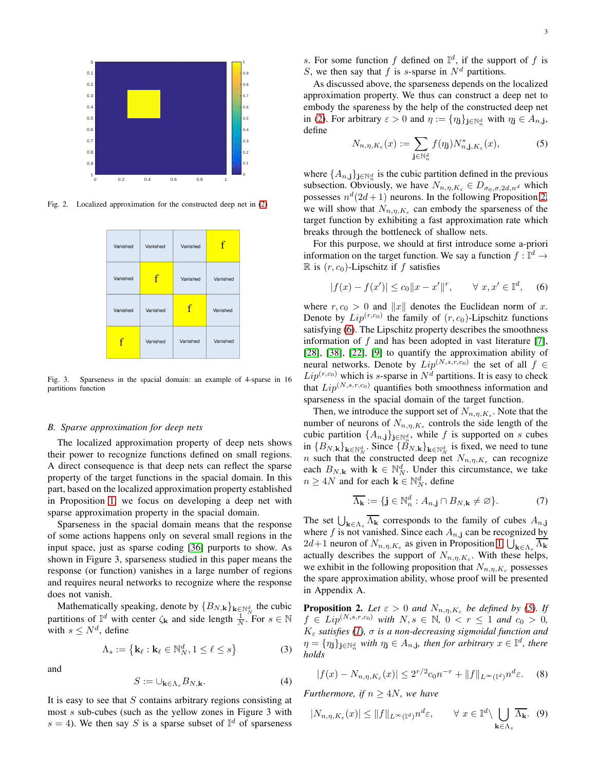

Fig. 2. Localized approximation for the constructed deep net in [\(2\)](#page-1-0)

| Vanished | Vanished | Vanished | f        |
|----------|----------|----------|----------|
| Vanished | f        | Vanished | Vanished |
| Vanished | Vanished | f        | Vanished |
| f        | Vanished | Vanished | Vanished |

Fig. 3. Sparseness in the spacial domain: an example of 4-sparse in 16 partitions function

## *B. Sparse approximation for deep nets*

The localized approximation property of deep nets shows their power to recognize functions defined on small regions. A direct consequence is that deep nets can reflect the sparse property of the target functions in the spacial domain. In this part, based on the localized approximation property established in Proposition [1,](#page-1-2) we focus on developing a deep net with sparse approximation property in the spacial domain.

Sparseness in the spacial domain means that the response of some actions happens only on several small regions in the input space, just as sparse coding [\[36\]](#page-13-16) purports to show. As shown in Figure 3, sparseness studied in this paper means the response (or function) vanishes in a large number of regions and requires neural networks to recognize where the response does not vanish.

Mathematically speaking, denote by  $\{B_{N,\mathbf{k}}\}_{\mathbf{k}\in\mathbb{N}_{N}^{d}}$  the cubic partitions of  $\mathbb{I}^d$  with center  $\zeta_k$  and side length  $\frac{1}{N}$ . For  $s \in \mathbb{N}$ with  $s \leq N^d$ , define

$$
\Lambda_s := \left\{ \mathbf{k}_{\ell} : \mathbf{k}_{\ell} \in \mathbb{N}_N^d, 1 \le \ell \le s \right\}
$$
 (3)

and

$$
S := \cup_{\mathbf{k} \in \Lambda_s} B_{N, \mathbf{k}}.\tag{4}
$$

It is easy to see that  $S$  contains arbitrary regions consisting at most s sub-cubes (such as the yellow zones in Figure 3 with  $s = 4$ ). We then say S is a sparse subset of  $\mathbb{I}^d$  of sparseness s. For some function f defined on  $\mathbb{I}^d$ , if the support of f is S, we then say that f is s-sparse in  $N^d$  partitions.

As discussed above, the sparseness depends on the localized approximation property. We thus can construct a deep net to embody the spareness by the help of the constructed deep net in [\(2\)](#page-1-0). For arbitrary  $\varepsilon > 0$  and  $\eta := {\eta_j}_{j \in \mathbb{N}_n^d}$  with  $\eta_j \in A_{n,j}$ , define

<span id="page-2-2"></span>
$$
N_{n,\eta,K_{\varepsilon}}(x) := \sum_{\mathbf{j}\in\mathbb{N}_n^d} f(\eta_{\mathbf{j}}) N_{n,\mathbf{j},K_{\varepsilon}}^*(x),\tag{5}
$$

where  $\{A_{n,j}\}_{j\in\mathbb{N}_n^d}$  is the cubic partition defined in the previous subsection. Obviously, we have  $N_{n,\eta,K_{\varepsilon}} \in D_{\sigma_0,\sigma,2d,n^d}$  which possesses  $n^d(2d+1)$  neurons. In the following Proposition [2,](#page-2-0) we will show that  $N_{n,\eta,K_{\varepsilon}}$  can embody the sparseness of the target function by exhibiting a fast approximation rate which breaks through the bottleneck of shallow nets.

For this purpose, we should at first introduce some a-priori information on the target function. We say a function  $f : \mathbb{I}^d \to$  $\mathbb R$  is  $(r, c_0)$ -Lipschitz if f satisfies

<span id="page-2-1"></span>
$$
|f(x) - f(x')| \le c_0 \|x - x'\|^r, \qquad \forall \ x, x' \in \mathbb{I}^d, \quad (6)
$$

where  $r, c_0 > 0$  and ||x|| denotes the Euclidean norm of x. Denote by  $Lip^{(r,c_0)}$  the family of  $(r, c_0)$ -Lipschitz functions satisfying [\(6\)](#page-2-1). The Lipschitz property describes the smoothness information of  $f$  and has been adopted in vast literature [\[7\]](#page-12-2), [\[28\]](#page-13-14), [\[38\]](#page-13-3), [\[22\]](#page-13-19), [\[9\]](#page-12-4) to quantify the approximation ability of neural networks. Denote by  $Lip^{(N,s,r,c_0)}$  the set of all  $f \in$  $Lip^{(r,c_0)}$  which is s-sparse in  $N<sup>d</sup>$  partitions. It is easy to check that  $Lip^{(N,s,r,c_0)}$  quantifies both smoothness information and sparseness in the spacial domain of the target function.

Then, we introduce the support set of  $N_{n,\eta,K_{\varepsilon}}$ . Note that the number of neurons of  $N_{n,\eta,K_{\varepsilon}}$  controls the side length of the cubic partition  $\{A_{n,j}\}_{j\in\mathbb{N}_n^d}$ , while f is supported on s cubes in  ${B_{N,\mathbf{k}}}_{\mathbf{k}\in\mathbb{N}_{N}^{d}}$ . Since  ${B_{N,\mathbf{k}}}_{\mathbf{k}\in\mathbb{N}_{N}^{d}}$  is fixed, we need to tune *n* such that the constructed deep net  $N_{n,\eta,K_{\varepsilon}}$  can recognize each  $B_{N,k}$  with  $k \in \mathbb{N}_N^d$ . Under this circumstance, we take  $n \geq 4N$  and for each  $\mathbf{k} \in \mathbb{N}_N^d$ , define

$$
\overline{\Lambda_{\mathbf{k}}} := \{ \mathbf{j} \in \mathbb{N}_n^d : A_{n, \mathbf{j}} \cap B_{N, \mathbf{k}} \neq \varnothing \}. \tag{7}
$$

The set  $\bigcup_{\mathbf{k}\in\Lambda_s}\Lambda_{\mathbf{k}}$  corresponds to the family of cubes  $A_{n,\mathbf{j}}$ where f is not vanished. Since each  $A_{n,j}$  can be recognized by  $2d+1$  neuron of  $N_{n,\eta,K_{\varepsilon}}$  as given in Proposition [1,](#page-1-2)  $\bigcup_{\mathbf{k}\in\Lambda_{s}}\Lambda_{\mathbf{k}}$ actually describes the support of  $N_{n,\eta,K_{\varepsilon}}$ . With these helps, we exhibit in the following proposition that  $N_{n,\eta,K_{\varepsilon}}$  possesses the spare approximation ability, whose proof will be presented in Appendix A.

<span id="page-2-0"></span>**Proposition 2.** Let  $\varepsilon > 0$  and  $N_{n,\eta,K_{\varepsilon}}$  be defined by [\(5\)](#page-2-2). If  $f \in Lip^{(N,s,r,c_0)}$  *with*  $N, s \in \mathbb{N}, 0 < r \le 1$  *and*  $c_0 > 0$ *,*  $K_{\varepsilon}$  *satisfies* [\(1\)](#page-1-1),  $\sigma$  *is a non-decreasing sigmoidal function and*  $\eta = \{\eta_j\}_{j\in\mathbb{N}_n^d}$  with  $\eta_j \in A_{n,j}$ , then for arbitrary  $x \in \mathbb{I}^d$ , there *holds*

<span id="page-2-3"></span>
$$
|f(x) - N_{n, \eta, K_{\varepsilon}}(x)| \le 2^{r/2} c_0 n^{-r} + ||f||_{L^{\infty}(\mathbb{I}^d)} n^d \varepsilon.
$$
 (8)

*Furthermore, if*  $n \geq 4N$ *, we have* 

<span id="page-2-4"></span>
$$
|N_{n,\eta,K_{\varepsilon}}(x)| \le \|f\|_{L^{\infty}(\mathbb{I}^d)} n^d \varepsilon, \qquad \forall \ x \in \mathbb{I}^d \setminus \bigcup_{\mathbf{k} \in \Lambda_s} \overline{\Lambda_{\mathbf{k}}}.\tag{9}
$$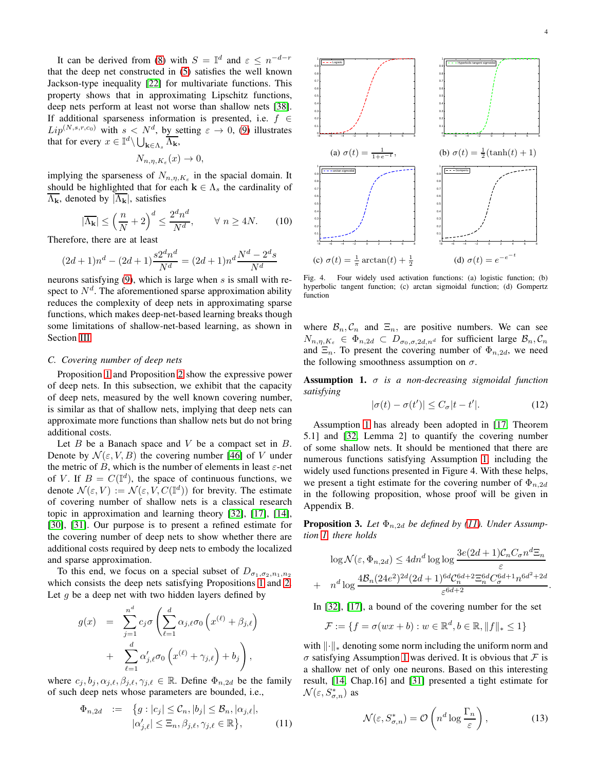It can be derived from [\(8\)](#page-2-3) with  $S = \mathbb{I}^d$  and  $\varepsilon \leq n^{-d-r}$ that the deep net constructed in [\(5\)](#page-2-2) satisfies the well known Jackson-type inequality [\[22\]](#page-13-19) for multivariate functions. This property shows that in approximating Lipschitz functions, deep nets perform at least not worse than shallow nets [\[38\]](#page-13-3). If additional sparseness information is presented, i.e.  $f \in$  $Lip^{(N,s,r,c_0)}$  with  $s \le N^d$ , by setting  $\varepsilon \to 0$ , [\(9\)](#page-2-4) illustrates that for every  $x \in \mathbb{I}^d \setminus \bigcup_{\mathbf{k} \in \Lambda_s} \overline{\Lambda_{\mathbf{k}}},$ 

$$
N_{n,\eta,K_{\varepsilon}}(x)\to 0,
$$

implying the sparseness of  $N_{n,\eta,K_{\varepsilon}}$  in the spacial domain. It should be highlighted that for each  $k \in \Lambda_s$  the cardinality of  $\overline{\Lambda_{\mathbf{k}}}$ , denoted by  $|\overline{\Lambda_{\mathbf{k}}}|\$ , satisfies

<span id="page-3-5"></span>
$$
|\overline{\Lambda_{\mathbf{k}}}| \le \left(\frac{n}{N} + 2\right)^d \le \frac{2^d n^d}{N^d}, \qquad \forall n \ge 4N. \tag{10}
$$

Therefore, there are at least

$$
(2d+1)n^d - (2d+1)\frac{s2^dn^d}{N^d} = (2d+1)n^d \frac{N^d - 2^ds}{N^d}
$$

neurons satisfying  $(9)$ , which is large when s is small with respect to  $N<sup>d</sup>$ . The aforementioned sparse approximation ability reduces the complexity of deep nets in approximating sparse functions, which makes deep-net-based learning breaks though some limitations of shallow-net-based learning, as shown in Section [III.](#page-4-0)

# *C. Covering number of deep nets*

Proposition [1](#page-1-2) and Proposition [2](#page-2-0) show the expressive power of deep nets. In this subsection, we exhibit that the capacity of deep nets, measured by the well known covering number, is similar as that of shallow nets, implying that deep nets can approximate more functions than shallow nets but do not bring additional costs.

Let  $B$  be a Banach space and  $V$  be a compact set in  $B$ . Denote by  $\mathcal{N}(\varepsilon, V, B)$  the covering number [\[46\]](#page-13-15) of V under the metric of B, which is the number of elements in least  $\varepsilon$ -net of V. If  $B = C(\mathbb{I}^d)$ , the space of continuous functions, we denote  $\mathcal{N}(\varepsilon, V) := \mathcal{N}(\varepsilon, V, C(\mathbb{I}^d))$  for brevity. The estimate of covering number of shallow nets is a classical research topic in approximation and learning theory [\[32\]](#page-13-20), [\[17\]](#page-13-21), [\[14\]](#page-13-22), [\[30\]](#page-13-23), [\[31\]](#page-13-24). Our purpose is to present a refined estimate for the covering number of deep nets to show whether there are additional costs required by deep nets to embody the localized and sparse approximation.

To this end, we focus on a special subset of  $D_{\sigma_1,\sigma_2,n_1,n_2}$ which consists the deep nets satisfying Propositions [1](#page-1-2) and [2.](#page-2-0) Let  $g$  be a deep net with two hidden layers defined by

$$
g(x) = \sum_{j=1}^{n^d} c_j \sigma \left( \sum_{\ell=1}^d \alpha_{j,\ell} \sigma_0 \left( x^{(\ell)} + \beta_{j,\ell} \right) + \sum_{\ell=1}^d \alpha'_{j,\ell} \sigma_0 \left( x^{(\ell)} + \gamma_{j,\ell} \right) + b_j \right),
$$

where  $c_j, b_j, \alpha_{j,\ell}, \beta_{j,\ell}, \gamma_{j,\ell} \in \mathbb{R}$ . Define  $\Phi_{n,2d}$  be the family of such deep nets whose parameters are bounded, i.e.,

<span id="page-3-1"></span>
$$
\Phi_{n,2d} := \{ g : |c_j| \leq C_n, |b_j| \leq \mathcal{B}_n, |\alpha_{j,\ell}|, |\alpha'_{j,\ell}| \leq \Xi_n, \beta_{j,\ell}, \gamma_{j,\ell} \in \mathbb{R} \},
$$
(11)



Fig. 4. Four widely used activation functions: (a) logistic function; (b) hyperbolic tangent function; (c) arctan sigmoidal function; (d) Gompertz function

where  $\mathcal{B}_n, \mathcal{C}_n$  and  $\Xi_n$ , are positive numbers. We can see  $N_{n,\eta,K_{\varepsilon}} \in \Phi_{n,2d} \subset D_{\sigma_0,\sigma,2d,n^d}$  for sufficient large  $\mathcal{B}_n,\mathcal{C}_n$ and  $\Xi_n$ . To present the covering number of  $\Phi_{n,2d}$ , we need the following smoothness assumption on  $\sigma$ .

<span id="page-3-0"></span>Assumption 1. σ *is a non-decreasing sigmoidal function satisfying*

<span id="page-3-4"></span>
$$
|\sigma(t) - \sigma(t')| \le C_{\sigma}|t - t'|.
$$
 (12)

Assumption [1](#page-3-0) has already been adopted in [\[17,](#page-13-21) Theorem 5.1] and [\[32,](#page-13-20) Lemma 2] to quantify the covering number of some shallow nets. It should be mentioned that there are numerous functions satisfying Assumption [1,](#page-3-0) including the widely used functions presented in Figure 4. With these helps, we present a tight estimate for the covering number of  $\Phi_{n,2d}$ in the following proposition, whose proof will be given in Appendix B.

<span id="page-3-2"></span>**Proposition 3.** Let  $\Phi_{n,2d}$  be defined by [\(11\)](#page-3-1). Under Assump*tion [1,](#page-3-0) there holds*

$$
\log \mathcal{N}(\varepsilon, \Phi_{n,2d}) \le 4dn^d \log \log \frac{3e(2d+1)\mathcal{C}_n C_\sigma n^d \Xi_n}{\varepsilon}
$$

$$
n^d \log \frac{4\mathcal{B}_n (24e^2)^{2d} (2d+1)^{6d} \mathcal{C}_n^{6d+2} \Xi_n^{6d} C_\sigma^{6d+1} n^{6d^2+2d}}{\varepsilon^{6d+2}}.
$$

In [\[32\]](#page-13-20), [\[17\]](#page-13-21), a bound of the covering number for the set

 $+$ 

$$
\mathcal{F} := \{ f = \sigma(wx + b) : w \in \mathbb{R}^d, b \in \mathbb{R}, ||f||_* \le 1 \}
$$

with  $\|\cdot\|_*$  denoting some norm including the uniform norm and  $\sigma$  satisfying Assumption [1](#page-3-0) was derived. It is obvious that  $\mathcal F$  is a shallow net of only one neurons. Based on this interesting result, [\[14,](#page-13-22) Chap.16] and [\[31\]](#page-13-24) presented a tight estimate for  $\mathcal{N}(\varepsilon,S^*_{\sigma,n})$  as

<span id="page-3-3"></span>
$$
\mathcal{N}(\varepsilon, S_{\sigma,n}^*) = \mathcal{O}\left(n^d \log \frac{\Gamma_n}{\varepsilon}\right),\tag{13}
$$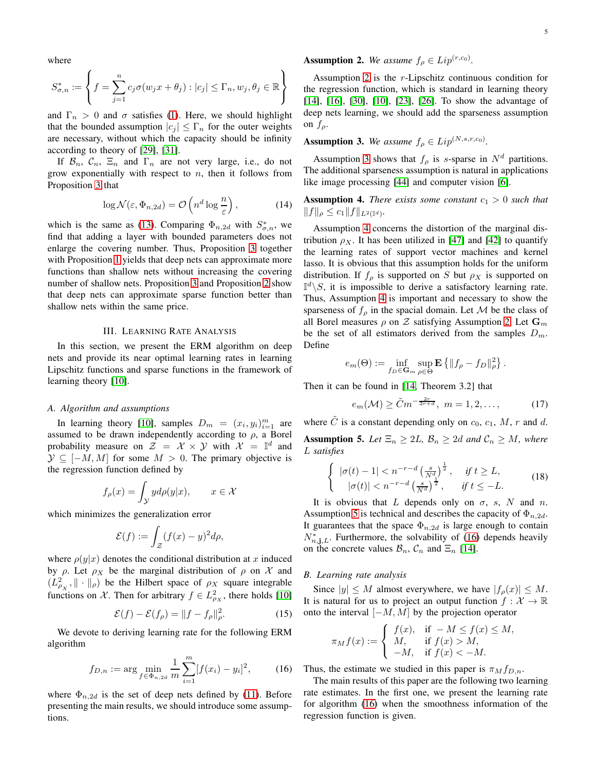where

$$
S_{\sigma,n}^* := \left\{ f = \sum_{j=1}^n c_j \sigma(w_j x + \theta_j) : |c_j| \le \Gamma_n, w_j, \theta_j \in \mathbb{R} \right\}
$$

and  $\Gamma_n > 0$  and  $\sigma$  satisfies [\(1\)](#page-3-0). Here, we should highlight that the bounded assumption  $|c_j| \leq \Gamma_n$  for the outer weights are necessary, without which the capacity should be infinity according to theory of [\[29\]](#page-13-13), [\[31\]](#page-13-24).

If  $\mathcal{B}_n$ ,  $\mathcal{C}_n$ ,  $\Xi_n$  and  $\Gamma_n$  are not very large, i.e., do not grow exponentially with respect to  $n$ , then it follows from Proposition [3](#page-3-2) that

$$
\log \mathcal{N}(\varepsilon, \Phi_{n, 2d}) = \mathcal{O}\left(n^d \log \frac{n}{\varepsilon}\right),\tag{14}
$$

which is the same as [\(13\)](#page-3-3). Comparing  $\Phi_{n,2d}$  with  $S^*_{\sigma,n}$ , we find that adding a layer with bounded parameters does not enlarge the covering number. Thus, Proposition [3](#page-3-2) together with Proposition [1](#page-1-2) yields that deep nets can approximate more functions than shallow nets without increasing the covering number of shallow nets. Proposition [3](#page-3-2) and Proposition [2](#page-2-0) show that deep nets can approximate sparse function better than shallow nets within the same price.

# III. LEARNING RATE ANALYSIS

<span id="page-4-0"></span>In this section, we present the ERM algorithm on deep nets and provide its near optimal learning rates in learning Lipschitz functions and sparse functions in the framework of learning theory [\[10\]](#page-13-12).

#### *A. Algorithm and assumptions*

In learning theory [\[10\]](#page-13-12), samples  $D_m = (x_i, y_i)_{i=1}^m$  are assumed to be drawn independently according to  $\rho$ , a Borel probability measure on  $\mathcal{Z} = \mathcal{X} \times \mathcal{Y}$  with  $\mathcal{X} = \mathbb{I}^d$  and  $\mathcal{Y} \subseteq [-M, M]$  for some  $M > 0$ . The primary objective is the regression function defined by

$$
f_{\rho}(x) = \int_{\mathcal{Y}} y d\rho(y|x), \qquad x \in \mathcal{X}
$$

which minimizes the generalization error

$$
\mathcal{E}(f) := \int_{\mathcal{Z}} (f(x) - y)^2 d\rho,
$$

where  $\rho(y|x)$  denotes the conditional distribution at x induced by  $\rho$ . Let  $\rho_X$  be the marginal distribution of  $\rho$  on X and  $(L_{\rho_X}^2, \|\cdot\|_{\rho})$  be the Hilbert space of  $\rho_X$  square integrable functions on X. Then for arbitrary  $f \in L^2_{\rho_X}$ , there holds [\[10\]](#page-13-12)

<span id="page-4-8"></span>
$$
\mathcal{E}(f) - \mathcal{E}(f_{\rho}) = ||f - f_{\rho}||_{\rho}^2.
$$
 (15)

We devote to deriving learning rate for the following ERM algorithm

<span id="page-4-5"></span>
$$
f_{D,n} := \arg\min_{f \in \Phi_{n,2d}} \frac{1}{m} \sum_{i=1}^{m} [f(x_i) - y_i]^2,
$$
 (16)

where  $\Phi_{n,2d}$  is the set of deep nets defined by [\(11\)](#page-3-1). Before presenting the main results, we should introduce some assumptions.

# <span id="page-4-1"></span>**Assumption 2.** We assume  $f_{\rho} \in Lip^{(r,c_0)}$ .

Assumption [2](#page-4-1) is the r-Lipschitz continuous condition for the regression function, which is standard in learning theory [\[14\]](#page-13-22), [\[16\]](#page-13-25), [\[30\]](#page-13-23), [\[10\]](#page-13-12), [\[23\]](#page-13-26), [\[26\]](#page-13-8). To show the advantage of deep nets learning, we should add the sparseness assumption on  $f_{\rho}$ .

# <span id="page-4-2"></span>**Assumption 3.** We assume  $f_{\rho} \in Lip^{(N,s,r,c_0)}$ .

Assumption [3](#page-4-2) shows that  $f_\rho$  is s-sparse in  $N^d$  partitions. The additional sparseness assumption is natural in applications like image processing [\[44\]](#page-13-18) and computer vision [\[6\]](#page-12-5).

<span id="page-4-3"></span>**Assumption 4.** *There exists some constant*  $c_1 > 0$  *such that*  $||f||_{\rho} \leq c_1 ||f||_{L^2(\mathbb{I}^d)}.$ 

Assumption [4](#page-4-3) concerns the distortion of the marginal distribution  $\rho_X$ . It has been utilized in [\[47\]](#page-13-27) and [\[42\]](#page-13-28) to quantify the learning rates of support vector machines and kernel lasso. It is obvious that this assumption holds for the uniform distribution. If  $f_{\rho}$  is supported on S but  $\rho_X$  is supported on  $\mathbb{I}^d\backslash S$ , it is impossible to derive a satisfactory learning rate. Thus, Assumption [4](#page-4-3) is important and necessary to show the sparseness of  $f_{\rho}$  in the spacial domain. Let M be the class of all Borel measures  $\rho$  on  $Z$  satisfying Assumption [2.](#page-4-1) Let  $\mathbf{G}_m$ be the set of all estimators derived from the samples  $D_m$ . Define

$$
e_m(\Theta) := \inf_{f_D \in \mathbf{G}_m} \sup_{\rho \in \Theta} \mathbf{E} \left\{ \|f_\rho - f_D\|_{\rho}^2 \right\}.
$$

Then it can be found in [\[14,](#page-13-22) Theorem 3.2] that

<span id="page-4-7"></span>
$$
e_m(\mathcal{M}) \ge \tilde{C}m^{-\frac{2r}{2r+d}}, \ m = 1, 2, \dots,
$$
 (17)

<span id="page-4-4"></span>where  $\tilde{C}$  is a constant depending only on  $c_0$ ,  $c_1$ ,  $M$ ,  $r$  and  $d$ . **Assumption 5.** Let  $\Xi_n \geq 2L$ ,  $\mathcal{B}_n \geq 2d$  and  $\mathcal{C}_n \geq M$ , where L *satisfies*

<span id="page-4-6"></span>
$$
\begin{cases} |\sigma(t) - 1| < n^{-r - d} \left(\frac{s}{N^d}\right)^{\frac{1}{2}}, & \text{if } t \ge L, \\ |\sigma(t)| < n^{-r - d} \left(\frac{s}{N^d}\right)^{\frac{1}{2}}, & \text{if } t \le -L. \end{cases} \tag{18}
$$

It is obvious that L depends only on  $\sigma$ , s, N and n. Assumption [5](#page-4-4) is technical and describes the capacity of  $\Phi_{n,2d}$ . It guarantees that the space  $\Phi_{n,2d}$  is large enough to contain  $N_{n,j,L}^*$ . Furthermore, the solvability of [\(16\)](#page-4-5) depends heavily on the concrete values  $\mathcal{B}_n$ ,  $\mathcal{C}_n$  and  $\Xi_n$  [\[14\]](#page-13-22).

# *B. Learning rate analysis*

Since  $|y| \leq M$  almost everywhere, we have  $|f_{\rho}(x)| \leq M$ . It is natural for us to project an output function  $f: \mathcal{X} \to \mathbb{R}$ onto the interval  $[-M, M]$  by the projection operator

$$
\pi_M f(x) := \begin{cases} f(x), & \text{if } -M \le f(x) \le M, \\ M, & \text{if } f(x) > M, \\ -M, & \text{if } f(x) < -M. \end{cases}
$$

Thus, the estimate we studied in this paper is  $\pi_M f_{D,n}$ .

The main results of this paper are the following two learning rate estimates. In the first one, we present the learning rate for algorithm [\(16\)](#page-4-5) when the smoothness information of the regression function is given.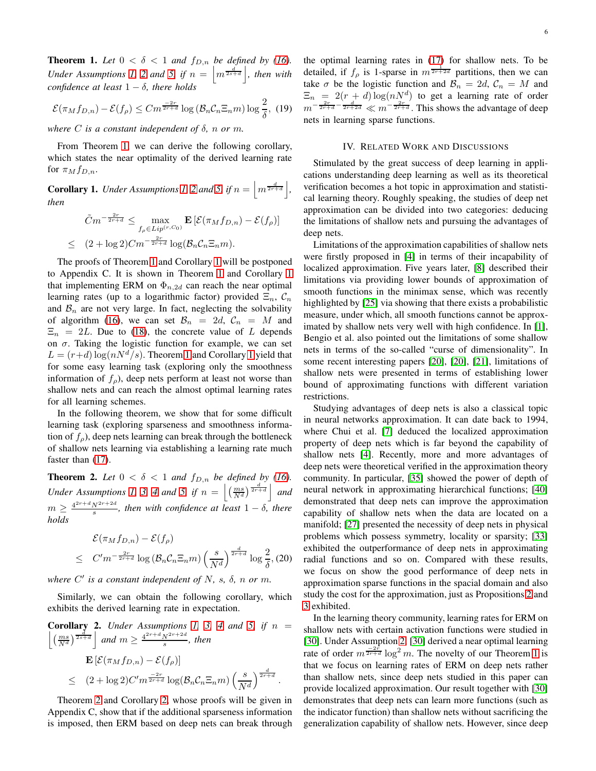<span id="page-5-1"></span>**Theorem 1.** Let  $0 < \delta < 1$  and  $f_{D,n}$  be defined by [\(16\)](#page-4-5). *Under Assumptions [1,](#page-3-0) [2](#page-4-1) and [5,](#page-4-4) if*  $n = \left\lfloor m^{\frac{d}{2s+d}} \right\rfloor$ *, then with confidence at least* 1 − δ*, there holds*

<span id="page-5-4"></span>
$$
\mathcal{E}(\pi_M f_{D,n}) - \mathcal{E}(f_{\rho}) \le C m^{\frac{-2r}{2r+d}} \log \left( \mathcal{B}_n \mathcal{C}_n \Xi_n m \right) \log \frac{2}{\delta}, \tag{19}
$$

*where* C *is a constant independent of* δ*,* n *or* m*.*

From Theorem [1,](#page-5-1) we can derive the following corollary, which states the near optimality of the derived learning rate for  $\pi_M f_{D,n}$ .

<span id="page-5-2"></span>**Corollary 1.** *Under Assumptions [1,](#page-3-0) [2](#page-4-1) and [5,](#page-4-4) if*  $n = \left\lfloor m^{\frac{d}{2r+d}} \right\rfloor$ , *then*

$$
\tilde{C}m^{-\frac{2r}{2r+d}} \leq \max_{f_{\rho} \in Lip^{(r,C_0)}} \mathbf{E}\left[\mathcal{E}(\pi_M f_{D,n}) - \mathcal{E}(f_{\rho})\right]
$$
  

$$
\leq (2 + \log 2)Cm^{-\frac{2r}{2r+d}} \log(\mathcal{B}_n \mathcal{C}_n \Xi_n m).
$$

The proofs of Theorem [1](#page-5-1) and Corollary [1](#page-5-2) will be postponed to Appendix C. It is shown in Theorem [1](#page-5-1) and Corollary [1](#page-5-2) that implementing ERM on  $\Phi_{n,2d}$  can reach the near optimal learning rates (up to a logarithmic factor) provided  $\Xi_n$ ,  $\mathcal{C}_n$ and  $\mathcal{B}_n$  are not very large. In fact, neglecting the solvability of algorithm [\(16\)](#page-4-5), we can set  $\mathcal{B}_n = 2d$ ,  $\mathcal{C}_n = M$  and  $\Xi_n = 2L$ . Due to [\(18\)](#page-4-6), the concrete value of L depends on  $\sigma$ . Taking the logistic function for example, we can set  $L = (r+d) \log(nN^d/s)$ . Theorem [1](#page-5-2) and Corollary 1 yield that for some easy learning task (exploring only the smoothness information of  $f_{\rho}$ ), deep nets perform at least not worse than shallow nets and can reach the almost optimal learning rates for all learning schemes.

In the following theorem, we show that for some difficult learning task (exploring sparseness and smoothness information of  $f_{\rho}$ ), deep nets learning can break through the bottleneck of shallow nets learning via establishing a learning rate much faster than  $(17)$ .

<span id="page-5-3"></span>**Theorem 2.** Let  $0 < \delta < 1$  and  $f_{D,n}$  be defined by [\(16\)](#page-4-5). *Under Assumptions [1,](#page-3-0) [3,](#page-4-2) [4](#page-4-3) and [5,](#page-4-4) if*  $n = \left| \left( \frac{ms}{N^d} \right)^{\frac{d}{2r+d}} \right|$  and  $m \geq \frac{4^{2r+d} N^{2r+2d}}{s}$ , then with confidence at least  $1-\delta$ , there *holds*

$$
\mathcal{E}(\pi_M f_{D,n}) - \mathcal{E}(f_{\rho})
$$
\n
$$
\leq C'm^{-\frac{2r}{2r+d}} \log \left(\mathcal{B}_n \mathcal{C}_n \Xi_n m\right) \left(\frac{s}{N^d}\right)^{\frac{d}{2r+d}} \log \frac{2}{\delta}, (20)
$$

where  $C'$  is a constant independent of  $N$ ,  $s$ ,  $\delta$ ,  $n$  or  $m$ .

Similarly, we can obtain the following corollary, which exhibits the derived learning rate in expectation.

<span id="page-5-5"></span>**Corollary 2.** Under Assumptions 1, 3, 4 and 5, if 
$$
n = \left[ \left( \frac{ms}{N^d} \right)^{\frac{4}{2s+d}} \right]
$$
 and  $m \ge \frac{4^{2r+d} N^{2r+2d}}{s}$ , then  
\n
$$
\mathbf{E} \left[ \mathcal{E}(\pi_M f_{D,n}) - \mathcal{E}(f_{\rho}) \right]
$$
\n
$$
\leq (2 + \log 2) C' m^{\frac{-2r}{2r+d}} \log(\mathcal{B}_n C_n \Xi_n m) \left( \frac{s}{N^d} \right)^{\frac{d}{2r+d}}.
$$

Theorem [2](#page-5-3) and Corollary [2,](#page-5-3) whose proofs will be given in Appendix C, show that if the additional sparseness information is imposed, then ERM based on deep nets can break through the optimal learning rates in [\(17\)](#page-4-7) for shallow nets. To be detailed, if  $f_\rho$  is 1-sparse in  $m^{\frac{1}{2r+2d}}$  partitions, then we can take  $\sigma$  be the logistic function and  $\mathcal{B}_n = 2d$ ,  $\mathcal{C}_n = M$  and  $\Xi_n = 2(r+d) \log(nN^d)$  to get a learning rate of order  $m^{-\frac{2r}{2r+d}-\frac{d}{2r+2d}} \ll m^{-\frac{2r}{2r+d}}$ . This shows the advantage of deep nets in learning sparse functions.

# IV. RELATED WORK AND DISCUSSIONS

<span id="page-5-0"></span>Stimulated by the great success of deep learning in applications understanding deep learning as well as its theoretical verification becomes a hot topic in approximation and statistical learning theory. Roughly speaking, the studies of deep net approximation can be divided into two categories: deducing the limitations of shallow nets and pursuing the advantages of deep nets.

Limitations of the approximation capabilities of shallow nets were firstly proposed in [\[4\]](#page-12-3) in terms of their incapability of localized approximation. Five years later, [\[8\]](#page-12-6) described their limitations via providing lower bounds of approximation of smooth functions in the minimax sense, which was recently highlighted by [\[25\]](#page-13-29) via showing that there exists a probabilistic measure, under which, all smooth functions cannot be approximated by shallow nets very well with high confidence. In [\[1\]](#page-12-7), Bengio et al. also pointed out the limitations of some shallow nets in terms of the so-called "curse of dimensionality". In some recent interesting papers [\[20\]](#page-13-30), [\[20\]](#page-13-30), [\[21\]](#page-13-31), limitations of shallow nets were presented in terms of establishing lower bound of approximating functions with different variation restrictions.

Studying advantages of deep nets is also a classical topic in neural networks approximation. It can date back to 1994, where Chui et al. [\[7\]](#page-12-2) deduced the localized approximation property of deep nets which is far beyond the capability of shallow nets [\[4\]](#page-12-3). Recently, more and more advantages of deep nets were theoretical verified in the approximation theory community. In particular, [\[35\]](#page-13-7) showed the power of depth of neural network in approximating hierarchical functions; [\[40\]](#page-13-32) demonstrated that deep nets can improve the approximation capability of shallow nets when the data are located on a manifold; [\[27\]](#page-13-17) presented the necessity of deep nets in physical problems which possess symmetry, locality or sparsity; [\[33\]](#page-13-33) exhibited the outperformance of deep nets in approximating radial functions and so on. Compared with these results, we focus on show the good performance of deep nets in approximation sparse functions in the spacial domain and also study the cost for the approximation, just as Propositions [2](#page-2-0) and [3](#page-3-2) exhibited.

In the learning theory community, learning rates for ERM on shallow nets with certain activation functions were studied in [\[30\]](#page-13-23). Under Assumption [2,](#page-4-1) [\[30\]](#page-13-23) derived a near optimal learning rate of order  $m^{\frac{-2r}{2r+d}} \log^2 m$ . The novelty of our Theorem [1](#page-5-1) is that we focus on learning rates of ERM on deep nets rather than shallow nets, since deep nets studied in this paper can provide localized approximation. Our result together with [\[30\]](#page-13-23) demonstrates that deep nets can learn more functions (such as the indicator function) than shallow nets without sacrificing the generalization capability of shallow nets. However, since deep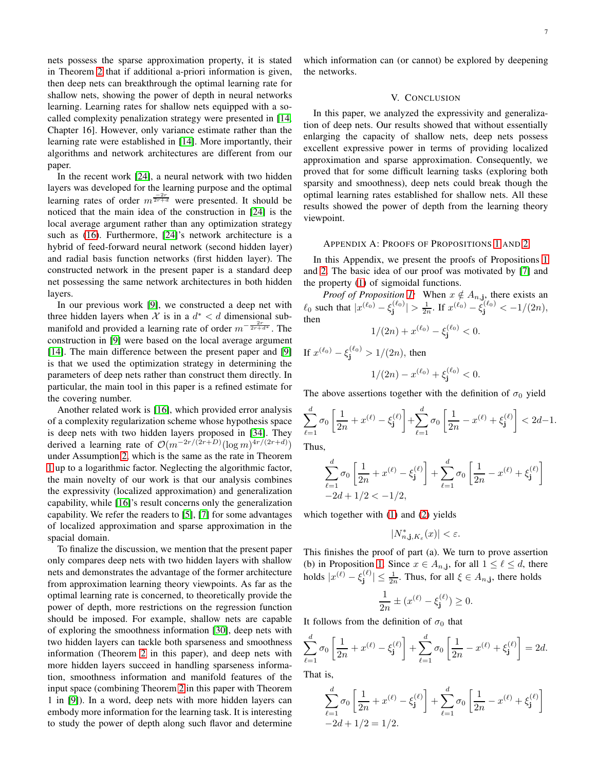nets possess the sparse approximation property, it is stated in Theorem [2](#page-5-3) that if additional a-priori information is given, then deep nets can breakthrough the optimal learning rate for shallow nets, showing the power of depth in neural networks learning. Learning rates for shallow nets equipped with a socalled complexity penalization strategy were presented in [\[14,](#page-13-22) Chapter 16]. However, only variance estimate rather than the learning rate were established in [\[14\]](#page-13-22). More importantly, their algorithms and network architectures are different from our paper.

In the recent work [\[24\]](#page-13-34), a neural network with two hidden layers was developed for the learning purpose and the optimal learning rates of order  $m^{\frac{-2r}{2r+d}}$  were presented. It should be noticed that the main idea of the construction in [\[24\]](#page-13-34) is the local average argument rather than any optimization strategy such as [\(16\)](#page-4-5). Furthermore, [\[24\]](#page-13-34)'s network architecture is a hybrid of feed-forward neural network (second hidden layer) and radial basis function networks (first hidden layer). The constructed network in the present paper is a standard deep net possessing the same network architectures in both hidden layers.

In our previous work [\[9\]](#page-12-4), we constructed a deep net with three hidden layers when X is in a  $d^* < d$  dimensional submanifold and provided a learning rate of order  $m^{-\frac{2r}{2r+d^*}}$ . The construction in [\[9\]](#page-12-4) were based on the local average argument [\[14\]](#page-13-22). The main difference between the present paper and [\[9\]](#page-12-4) is that we used the optimization strategy in determining the parameters of deep nets rather than construct them directly. In particular, the main tool in this paper is a refined estimate for the covering number.

Another related work is [\[16\]](#page-13-25), which provided error analysis of a complexity regularization scheme whose hypothesis space is deep nets with two hidden layers proposed in [\[34\]](#page-13-35). They derived a learning rate of  $\mathcal{O}(m^{-2r/(2r+D)}(\log m)^{4r/(2r+d)})$ under Assumption [2,](#page-4-1) which is the same as the rate in Theorem [1](#page-5-1) up to a logarithmic factor. Neglecting the algorithmic factor, the main novelty of our work is that our analysis combines the expressivity (localized approximation) and generalization capability, while [\[16\]](#page-13-25)'s result concerns only the generalization capability. We refer the readers to [\[5\]](#page-12-8), [\[7\]](#page-12-2) for some advantages of localized approximation and sparse approximation in the spacial domain.

To finalize the discussion, we mention that the present paper only compares deep nets with two hidden layers with shallow nets and demonstrates the advantage of the former architecture from approximation learning theory viewpoints. As far as the optimal learning rate is concerned, to theoretically provide the power of depth, more restrictions on the regression function should be imposed. For example, shallow nets are capable of exploring the smoothness information [\[30\]](#page-13-23), deep nets with two hidden layers can tackle both sparseness and smoothness information (Theorem [2](#page-5-3) in this paper), and deep nets with more hidden layers succeed in handling sparseness information, smoothness information and manifold features of the input space (combining Theorem [2](#page-5-3) in this paper with Theorem 1 in [\[9\]](#page-12-4)). In a word, deep nets with more hidden layers can embody more information for the learning task. It is interesting to study the power of depth along such flavor and determine which information can (or cannot) be explored by deepening the networks.

## V. CONCLUSION

In this paper, we analyzed the expressivity and generalization of deep nets. Our results showed that without essentially enlarging the capacity of shallow nets, deep nets possess excellent expressive power in terms of providing localized approximation and sparse approximation. Consequently, we proved that for some difficult learning tasks (exploring both sparsity and smoothness), deep nets could break though the optimal learning rates established for shallow nets. All these results showed the power of depth from the learning theory viewpoint.

## APPENDIX A: PROOFS OF PROPOSITIONS [1](#page-1-2) AND [2](#page-2-0)

In this Appendix, we present the proofs of Propositions [1](#page-1-2) and [2.](#page-2-0) The basic idea of our proof was motivated by [\[7\]](#page-12-2) and the property [\(1\)](#page-1-1) of sigmoidal functions.

*Proof of Proposition [1:](#page-1-2)* When  $x \notin A_{n,j}$ , there exists an  $\ell_0$  such that  $|x^{(\ell_0)} - \xi_j^{(\ell_0)}| > \frac{1}{2n}$ . If  $x^{(\ell_0)} - \xi_j^{(\ell_0)} < -1/(2n)$ , then

$$
1/(2n) + x^{(\ell_0)} - \xi_j^{(\ell_0)} < 0.
$$

If  $x^{(\ell_0)} - \xi_j^{(\ell_0)} > 1/(2n)$ , then  $1/(2n) - x^{(\ell_0)} + \xi_j^{(\ell_0)} < 0.$ 

The above assertions together with the definition of  $\sigma_0$  yield

$$
\sum_{\ell=1}^d \sigma_0 \left[ \frac{1}{2n} + x^{(\ell)} - \xi_j^{(\ell)} \right] + \sum_{\ell=1}^d \sigma_0 \left[ \frac{1}{2n} - x^{(\ell)} + \xi_j^{(\ell)} \right] < 2d - 1.
$$

Thus,

$$
\sum_{\ell=1}^{d} \sigma_0 \left[ \frac{1}{2n} + x^{(\ell)} - \xi_j^{(\ell)} \right] + \sum_{\ell=1}^{d} \sigma_0 \left[ \frac{1}{2n} - x^{(\ell)} + \xi_j^{(\ell)} \right] - 2d + 1/2 < -1/2,
$$

which together with [\(1\)](#page-1-1) and [\(2\)](#page-1-0) yields

$$
|N_{n,\mathbf{j},K_{\varepsilon}}^{\ast}(x)|<\varepsilon.
$$

This finishes the proof of part (a). We turn to prove assertion (b) in Proposition [1.](#page-1-2) Since  $x \in A_{n,j}$ , for all  $1 \leq \ell \leq d$ , there holds  $|x^{(\ell)} - \xi_j^{(\ell)}|$  $|\xi^{(\ell)}| \leq \frac{1}{2n}$ . Thus, for all  $\xi \in A_{n,j}$ , there holds

$$
\frac{1}{2n} \pm (x^{(\ell)} - \xi_j^{(\ell)}) \ge 0.
$$

It follows from the definition of  $\sigma_0$  that

$$
\sum_{\ell=1}^d \sigma_0 \left[ \frac{1}{2n} + x^{(\ell)} - \xi_j^{(\ell)} \right] + \sum_{\ell=1}^d \sigma_0 \left[ \frac{1}{2n} - x^{(\ell)} + \xi_j^{(\ell)} \right] = 2d.
$$
  
That is

That is,

$$
\sum_{\ell=1}^{d} \sigma_0 \left[ \frac{1}{2n} + x^{(\ell)} - \xi_j^{(\ell)} \right] + \sum_{\ell=1}^{d} \sigma_0 \left[ \frac{1}{2n} - x^{(\ell)} + \xi_j^{(\ell)} \right] - 2d + 1/2 = 1/2.
$$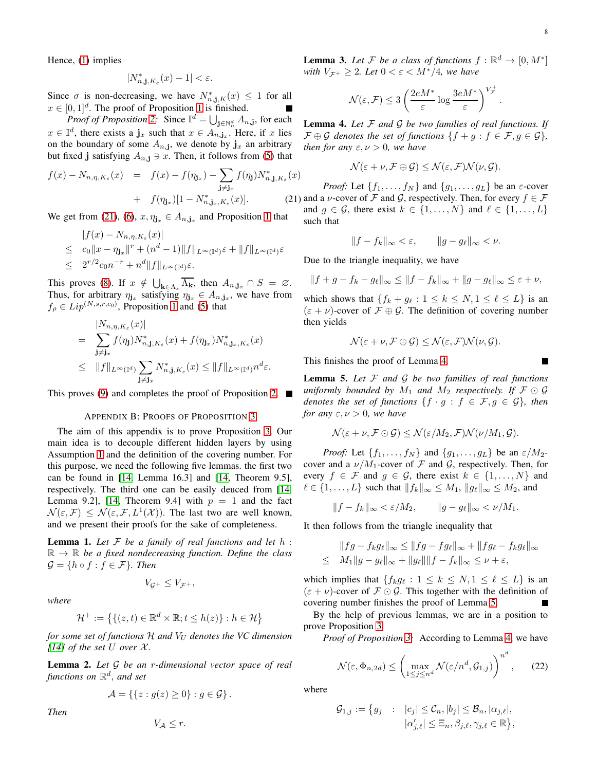**The Second Service** 

Hence, [\(1\)](#page-1-1) implies

$$
|N_{n,\mathbf{j},K_{\varepsilon}}^{\ast}(x)-1|<\varepsilon.
$$

Since  $\sigma$  is non-decreasing, we have  $N^*_{n, \mathbf{j}, K}(x) \leq 1$  for all  $x \in [0, 1]^d$  $x \in [0, 1]^d$  $x \in [0, 1]^d$ . The proof of Proposition 1 is finished.

*Proof of Proposition* [2:](#page-2-0) Since  $\mathbb{I}^d = \bigcup_{\mathbf{j} \in \mathbb{N}_n^d} A_{n,\mathbf{j}}$ , for each  $x \in \mathbb{I}^d$ , there exists a  $\mathbf{j}_x$  such that  $x \in A_{n,\mathbf{j}_x}$ . Here, if x lies on the boundary of some  $A_{n,j}$ , we denote by  $\mathbf{j}_x$  an arbitrary but fixed j satisfying  $A_{n,j} \ni x$ . Then, it follows from [\(5\)](#page-2-2) that

<span id="page-7-0"></span>
$$
f(x) - N_{n,\eta,K_{\varepsilon}}(x) = f(x) - f(\eta_{\mathbf{j}_x}) - \sum_{\mathbf{j}\neq\mathbf{j}_x} f(\eta_{\mathbf{j}})N_{n,\mathbf{j},K_{\varepsilon}}^*(x) + f(\eta_{\mathbf{j}_x})[1 - N_{n,\mathbf{j}_x,K_{\varepsilon}}^*(x)].
$$
 (21)

We get from [\(21\)](#page-7-0), [\(6\)](#page-2-1),  $x, \eta_{j_x} \in A_{n,j_x}$  and Proposition [1](#page-1-2) that

$$
|f(x) - N_{n,\eta,K_{\varepsilon}}(x)|
$$
  
\n
$$
\leq c_0 \|x - \eta_{\mathbf{j}_x}\|^r + (n^d - 1) \|f\|_{L^{\infty}(\mathbb{I}^d)} \varepsilon + \|f\|_{L^{\infty}(\mathbb{I}^d)} \varepsilon
$$
  
\n
$$
\leq 2^{r/2} c_0 n^{-r} + n^d \|f\|_{L^{\infty}(\mathbb{I}^d)} \varepsilon.
$$

This proves [\(8\)](#page-2-3). If  $x \notin \bigcup_{\mathbf{k} \in \Lambda_s} \overline{\Lambda_{\mathbf{k}}}$ , then  $A_{n,\mathbf{j}_x} \cap S = \emptyset$ . Thus, for arbitrary  $\eta_{j_x}$  satisfying  $\eta_{j_x} \in A_{n,j_x}$ , we have from  $f_{\rho} \in Lip^{(N,s,r,c_0)}$ , Proposition [1](#page-1-2) and [\(5\)](#page-2-2) that

$$
= \sum_{\mathbf{j}\neq\mathbf{j}_x} |N_{n,\eta,K_{\varepsilon}}(x)|
$$
  
\n
$$
= \sum_{\mathbf{j}\neq\mathbf{j}_x} f(\eta_{\mathbf{j}})N_{n,\mathbf{j},K_{\varepsilon}}^*(x) + f(\eta_{\mathbf{j}_x})N_{n,\mathbf{j}_x,K_{\varepsilon}}^*(x)
$$
  
\n
$$
\leq ||f||_{L^{\infty}(\mathbb{T}^d)} \sum_{\mathbf{j}\neq\mathbf{j}_x} N_{n,\mathbf{j},K_{\varepsilon}}^*(x) \leq ||f||_{L^{\infty}(\mathbb{T}^d)} n^d \varepsilon.
$$

This proves [\(9\)](#page-2-4) and completes the proof of Proposition [2.](#page-2-0)

### APPENDIX B: PROOFS OF PROPOSITION [3](#page-3-2)

The aim of this appendix is to prove Proposition [3.](#page-3-2) Our main idea is to decouple different hidden layers by using Assumption [1](#page-3-0) and the definition of the covering number. For this purpose, we need the following five lemmas. the first two can be found in [\[14,](#page-13-22) Lemma 16.3] and [\[14,](#page-13-22) Theorem 9.5], respectively. The third one can be easily deuced from [\[14,](#page-13-22) Lemma 9.2], [\[14,](#page-13-22) Theorem 9.4] with  $p = 1$  and the fact  $\mathcal{N}(\varepsilon, \mathcal{F}) \leq \mathcal{N}(\varepsilon, \mathcal{F}, L^1(\mathcal{X}))$ . The last two are well known, and we present their proofs for the sake of completeness.

<span id="page-7-3"></span>Lemma 1. *Let* F *be a family of real functions and let* h :  $\mathbb{R} \to \mathbb{R}$  be a fixed nondecreasing function. Define the class  $\mathcal{G} = \{h \circ f : f \in \mathcal{F}\}\$ . Then

$$
V_{\mathcal{G}^+}\leq V_{\mathcal{F}^+},
$$

*where*

$$
\mathcal{H}^+ := \left\{ \{ (z, t) \in \mathbb{R}^d \times \mathbb{R}; t \le h(z) \} : h \in \mathcal{H} \right\}
$$

*for some set of functions* H *and*  $V_U$  *denotes the VC dimension [\[14\]](#page-13-22)* of the set U over  $\mathcal{X}$ .

<span id="page-7-4"></span>Lemma 2. *Let* G *be an* r*-dimensional vector space of real functions on* R d , *and set*

$$
\mathcal{A} = \left\{ \{ z : g(z) \ge 0 \} : g \in \mathcal{G} \right\}.
$$

*Then*

 $V_A \leq r$ .

<span id="page-7-5"></span>**Lemma 3.** Let  $\mathcal{F}$  be a class of functions  $f : \mathbb{R}^d \to [0, M^*]$ *with*  $V_{\mathcal{F}^+} \geq 2$ *. Let*  $0 < \varepsilon < M^*/4$ *, we have* 

$$
\mathcal{N}(\varepsilon, \mathcal{F}) \leq 3 \left( \frac{2e M^*}{\varepsilon} \log \frac{3e M^*}{\varepsilon} \right)^{V_{\mathcal{F}}^+}.
$$

<span id="page-7-1"></span>Lemma 4. *Let* F *and* G *be two families of real functions. If*  $\mathcal{F} \oplus \mathcal{G}$  *denotes the set of functions*  $\{f + q : f \in \mathcal{F}, q \in \mathcal{G}\}\,$ *then for any*  $\varepsilon, \nu > 0$ *, we have* 

$$
\mathcal{N}(\varepsilon+\nu,\mathcal{F}\oplus\mathcal{G})\leq\mathcal{N}(\varepsilon,\mathcal{F})\mathcal{N}(\nu,\mathcal{G}).
$$

*Proof:* Let  $\{f_1, \ldots, f_N\}$  and  $\{g_1, \ldots, g_L\}$  be an  $\varepsilon$ -cover and a *ν*-cover of F and G, respectively. Then, for every  $f \in \mathcal{F}$ and  $g \in \mathcal{G}$ , there exist  $k \in \{1, ..., N\}$  and  $\ell \in \{1, ..., L\}$ such that

$$
||f - f_k||_{\infty} < \varepsilon, \qquad ||g - g_\ell||_{\infty} < \nu.
$$

Due to the triangle inequality, we have

$$
||f+g-f_k-g_\ell||_\infty \leq ||f-f_k||_\infty + ||g-g_\ell||_\infty \leq \varepsilon + \nu,
$$

which shows that  $\{f_k + g_\ell : 1 \leq k \leq N, 1 \leq \ell \leq L\}$  is an  $(\varepsilon + \nu)$ -cover of  $\mathcal{F} \oplus \mathcal{G}$ . The definition of covering number then yields

$$
\mathcal{N}(\varepsilon+\nu,\mathcal{F}\oplus\mathcal{G})\leq\mathcal{N}(\varepsilon,\mathcal{F})\mathcal{N}(\nu,\mathcal{G}).
$$

This finishes the proof of Lemma [4.](#page-7-1)

<span id="page-7-2"></span>Lemma 5. *Let* F *and* G *be two families of real functions uniformly bounded by*  $M_1$  *and*  $M_2$  *respectively. If*  $\mathcal{F} \odot \mathcal{G}$ *denotes the set of functions*  $\{f \cdot g : f \in \mathcal{F}, g \in \mathcal{G}\}\$ , then *for any*  $\varepsilon, \nu > 0$ *, we have* 

$$
\mathcal{N}(\varepsilon+\nu,\mathcal{F}\odot\mathcal{G})\leq\mathcal{N}(\varepsilon/M_2,\mathcal{F})\mathcal{N}(\nu/M_1,\mathcal{G}).
$$

*Proof:* Let  $\{f_1, \ldots, f_N\}$  and  $\{g_1, \ldots, g_L\}$  be an  $\varepsilon/M_2$ cover and a  $\nu/M_1$ -cover of F and G, respectively. Then, for every  $f \in \mathcal{F}$  and  $g \in \mathcal{G}$ , there exist  $k \in \{1, ..., N\}$  and  $\ell \in \{1, \ldots, L\}$  such that  $||f_k||_{\infty} \leq M_1$ ,  $||g_{\ell}||_{\infty} \leq M_2$ , and

$$
||f - f_k||_{\infty} < \varepsilon / M_2, \qquad ||g - g_\ell||_{\infty} < \nu / M_1.
$$

It then follows from the triangle inequality that

$$
||fg - f_kg_\ell||_\infty \le ||fg - fg_\ell||_\infty + ||fg_\ell - f_kg_\ell||_\infty
$$
  

$$
\leq M_1||g - g_\ell||_\infty + ||g_\ell|| ||f - f_k||_\infty \leq \nu + \varepsilon,
$$

which implies that  ${f_kg_\ell : 1 \leq k \leq N, 1 \leq \ell \leq L}$  is an  $(\varepsilon + \nu)$ -cover of  $\mathcal{F} \odot \mathcal{G}$ . This together with the definition of covering number finishes the proof of Lemma [5.](#page-7-2)

By the help of previous lemmas, we are in a position to prove Proposition [3.](#page-3-2)

*Proof of Proposition [3:](#page-3-2)* According to Lemma [4,](#page-7-1) we have

<span id="page-7-6"></span>
$$
\mathcal{N}(\varepsilon, \Phi_{n,2d}) \le \left(\max_{1 \le j \le n^d} \mathcal{N}(\varepsilon/n^d, \mathcal{G}_{1,j})\right)^{n^d},\qquad(22)
$$

where

$$
\mathcal{G}_{1,j} := \left\{ g_j \ : \ |c_j| \leq \mathcal{C}_n, |b_j| \leq \mathcal{B}_n, |\alpha_{j,\ell}|, \right.|\alpha'_{j,\ell}| \leq \Xi_n, \beta_{j,\ell}, \gamma_{j,\ell} \in \mathbb{R} \right\},\
$$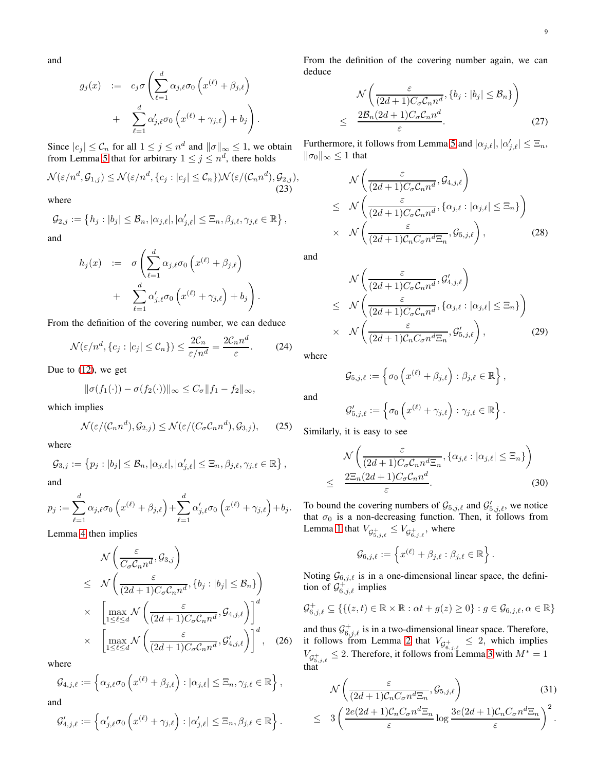and

$$
g_j(x) := c_j \sigma \left( \sum_{\ell=1}^d \alpha_{j,\ell} \sigma_0 \left( x^{(\ell)} + \beta_{j,\ell} \right) + \sum_{\ell=1}^d \alpha'_{j,\ell} \sigma_0 \left( x^{(\ell)} + \gamma_{j,\ell} \right) + b_j \right).
$$

Since  $|c_j| \leq C_n$  for all  $1 \leq j \leq n^d$  and  $||\sigma||_{\infty} \leq 1$ , we obtain from Lemma [5](#page-7-2) that for arbitrary  $1 \leq j \leq n^d$ , there holds

<span id="page-8-8"></span>
$$
\mathcal{N}(\varepsilon/n^d, \mathcal{G}_{1,j}) \le \mathcal{N}(\varepsilon/n^d, \{c_j : |c_j| \le \mathcal{C}_n\}) \mathcal{N}(\varepsilon/(\mathcal{C}_n n^d), \mathcal{G}_{2,j}),
$$
\n(23)

where

$$
\mathcal{G}_{2,j} := \left\{ h_j : |b_j| \leq \mathcal{B}_n, |\alpha_{j,\ell}|, |\alpha'_{j,\ell}| \leq \Xi_n, \beta_{j,\ell}, \gamma_{j,\ell} \in \mathbb{R} \right\},\
$$

and

$$
h_j(x) := \sigma \left( \sum_{\ell=1}^d \alpha_{j,\ell} \sigma_0 \left( x^{(\ell)} + \beta_{j,\ell} \right) + \sum_{\ell=1}^d \alpha'_{j,\ell} \sigma_0 \left( x^{(\ell)} + \gamma_{j,\ell} \right) + b_j \right).
$$

From the definition of the covering number, we can deduce

<span id="page-8-7"></span>
$$
\mathcal{N}(\varepsilon/n^d, \{c_j : |c_j| \le C_n\}) \le \frac{2C_n}{\varepsilon/n^d} = \frac{2C_n n^d}{\varepsilon}.
$$
 (24)

Due to [\(12\)](#page-3-4), we get

$$
\|\sigma(f_1(\cdot)) - \sigma(f_2(\cdot))\|_{\infty} \le C_{\sigma} \|f_1 - f_2\|_{\infty},
$$

which implies

<span id="page-8-6"></span>
$$
\mathcal{N}(\varepsilon/(C_n n^d), \mathcal{G}_{2,j}) \le \mathcal{N}(\varepsilon/(C_{\sigma} C_n n^d), \mathcal{G}_{3,j}),\qquad(25)
$$

where

$$
\mathcal{G}_{3,j} := \left\{ p_j : |b_j| \leq \mathcal{B}_n, |\alpha_{j,\ell}|, |\alpha'_{j,\ell}| \leq \Xi_n, \beta_{j,\ell}, \gamma_{j,\ell} \in \mathbb{R} \right\},\
$$

and

$$
p_j := \sum_{\ell=1}^d \alpha_{j,\ell} \sigma_0 \left( x^{(\ell)} + \beta_{j,\ell} \right) + \sum_{\ell=1}^d \alpha'_{j,\ell} \sigma_0 \left( x^{(\ell)} + \gamma_{j,\ell} \right) + b_j.
$$

Lemma [4](#page-7-1) then implies

<span id="page-8-5"></span>
$$
\mathcal{N}\left(\frac{\varepsilon}{C_{\sigma}C_{n}n^{d}}, \mathcal{G}_{3,j}\right)
$$
\n
$$
\leq \mathcal{N}\left(\frac{\varepsilon}{(2d+1)C_{\sigma}C_{n}n^{d}}, \{b_{j}:|b_{j}|\leq \mathcal{B}_{n}\}\right)
$$
\n
$$
\times \left[\max_{1\leq \ell\leq d} \mathcal{N}\left(\frac{\varepsilon}{(2d+1)C_{\sigma}C_{n}n^{d}}, \mathcal{G}_{4,j,\ell}\right)\right]^{d}
$$
\n
$$
\times \left[\max_{1\leq \ell\leq d} \mathcal{N}\left(\frac{\varepsilon}{(2d+1)C_{\sigma}C_{n}n^{d}}, \mathcal{G}_{4,j,\ell}'\right)\right]^{d}, \quad (26)
$$

where

$$
\mathcal{G}_{4,j,\ell} := \left\{ \alpha_{j,\ell} \sigma_0 \left( x^{(\ell)} + \beta_{j,\ell} \right) : |\alpha_{j,\ell}| \leq \Xi_n, \gamma_{j,\ell} \in \mathbb{R} \right\},\
$$

and

$$
\mathcal{G}_{4,j,\ell}' := \left\{ \alpha'_{j,\ell} \sigma_0 \left( x^{(\ell)} + \gamma_{j,\ell} \right) : |\alpha'_{j,\ell}| \leq \Xi_n, \beta_{j,\ell} \in \mathbb{R} \right\}.
$$

From the definition of the covering number again, we can deduce

<span id="page-8-4"></span>
$$
\mathcal{N}\left(\frac{\varepsilon}{(2d+1)C_{\sigma}C_{n}n^{d}},\{b_{j}:|b_{j}|\leq B_{n}\}\right)
$$
\n
$$
\leq \frac{2\mathcal{B}_{n}(2d+1)C_{\sigma}C_{n}n^{d}}{\varepsilon}.
$$
\n(27)

Furthermore, it follows from Lemma [5](#page-7-2) and  $|\alpha_{j,\ell}|, |\alpha_{j,\ell}'| \leq \Xi_n$ ,  $||\sigma_0||_{\infty}$  ≤ 1 that

<span id="page-8-2"></span>
$$
\mathcal{N}\left(\frac{\varepsilon}{(2d+1)C_{\sigma}C_{n}n^{d}}, \mathcal{G}_{4,j,\ell}\right) \leq \mathcal{N}\left(\frac{\varepsilon}{(2d+1)C_{\sigma}C_{n}n^{d}}, \{\alpha_{j,\ell}:|\alpha_{j,\ell}|\leq \Xi_{n}\}\right) \times \mathcal{N}\left(\frac{\varepsilon}{(2d+1)C_{n}C_{\sigma}n^{d}\Xi_{n}}, \mathcal{G}_{5,j,\ell}\right),
$$
\n(28)

and

<span id="page-8-3"></span>
$$
\mathcal{N}\left(\frac{\varepsilon}{(2d+1)C_{\sigma}C_{n}n^{d}}, \mathcal{G}'_{4,j,\ell}\right) \leq \mathcal{N}\left(\frac{\varepsilon}{(2d+1)C_{\sigma}C_{n}n^{d}}, \{\alpha_{j,\ell}:|\alpha_{j,\ell}|\leq \Xi_{n}\}\right) \times \mathcal{N}\left(\frac{\varepsilon}{(2d+1)C_{n}C_{\sigma}n^{d}\Xi_{n}}, \mathcal{G}'_{5,j,\ell}\right),
$$
\n(29)

where

$$
\mathcal{G}_{5,j,\ell} := \left\{ \sigma_0 \left( x^{(\ell)} + \beta_{j,\ell} \right) : \beta_{j,\ell} \in \mathbb{R} \right\},\
$$

and

$$
\mathcal{G}_{5,j,\ell}^{\prime} := \left\{ \sigma_0 \left( x^{(\ell)} + \gamma_{j,\ell} \right) : \gamma_{j,\ell} \in \mathbb{R} \right\}.
$$

Similarly, it is easy to see

<span id="page-8-1"></span>
$$
\mathcal{N}\left(\frac{\varepsilon}{(2d+1)C_{\sigma}C_{n}n^{d}\Xi_{n}}, \{\alpha_{j,\ell}:|\alpha_{j,\ell}|\leq \Xi_{n}\}\right)
$$
\n
$$
\leq \frac{2\Xi_{n}(2d+1)C_{\sigma}C_{n}n^{d}}{\varepsilon}.
$$
\n(30)

To bound the covering numbers of  $\mathcal{G}_{5,j,\ell}$  and  $\mathcal{G}'_{5,j,\ell}$ , we notice that  $\sigma_0$  is a non-decreasing function. Then, it follows from Lemma [1](#page-7-3) that  $V_{\mathcal{G}^+_{5,j,\ell}} \leq V_{\mathcal{G}^+_{6,j,\ell}}$ , where

$$
\mathcal{G}_{6,j,\ell} := \left\{ x^{(\ell)} + \beta_{j,\ell} : \beta_{j,\ell} \in \mathbb{R} \right\}.
$$

Noting  $\mathcal{G}_{6,j,\ell}$  is in a one-dimensional linear space, the definition of  $\mathcal{G}^+_{6,j,\ell}$  implies

$$
\mathcal{G}^+_{6,j,\ell} \subseteq \{ \{ (z,t) \in \mathbb{R} \times \mathbb{R} : \alpha t + g(z) \geq 0 \} : g \in \mathcal{G}_{6,j,\ell}, \alpha \in \mathbb{R} \}
$$

and thus  $\mathcal{G}^+_{6,j,\ell}$  is in a two-dimensional linear space. Therefore, it follows from Lemma [2](#page-7-4) that  $V_{\mathcal{G}^+_{6,j,\ell}} \leq 2$ , which implies  $V_{\mathcal{G}^+_{5,j,\ell}} \leq 2$ . Therefore, it follows from Lemma [3](#page-7-5) with  $M^* = 1$ that

<span id="page-8-0"></span>
$$
\mathcal{N}\left(\frac{\varepsilon}{(2d+1)\mathcal{C}_n C_{\sigma} n^d \Xi_n}, \mathcal{G}_{5,j,\ell}\right) \tag{31}
$$
\n
$$
\leq 3\left(\frac{2e(2d+1)\mathcal{C}_n C_{\sigma} n^d \Xi_n}{\varepsilon} \log \frac{3e(2d+1)\mathcal{C}_n C_{\sigma} n^d \Xi_n}{\varepsilon}\right)^2.
$$

ε

.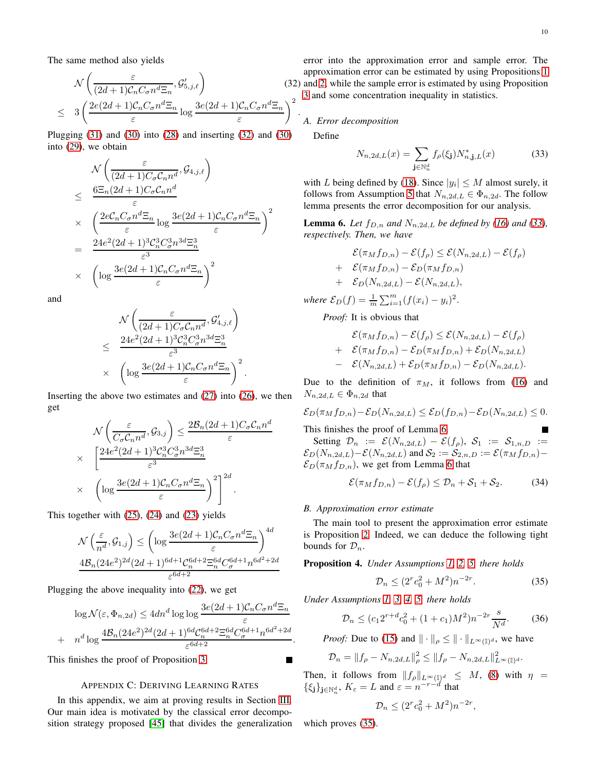The same method also yields

<span id="page-9-0"></span>
$$
\mathcal{N}\left(\frac{\varepsilon}{(2d+1)\mathcal{C}_n C_{\sigma} n^d \Xi_n}, \mathcal{G}'_{5,j,\ell}\right) \qquad (32)
$$
\n
$$
\leq 3\left(\frac{2e(2d+1)\mathcal{C}_n C_{\sigma} n^d \Xi_n}{\varepsilon} \log \frac{3e(2d+1)\mathcal{C}_n C_{\sigma} n^d \Xi_n}{\varepsilon}\right)^2.
$$

Plugging  $(31)$  and  $(30)$  into  $(28)$  and inserting  $(32)$  and  $(30)$ into [\(29\)](#page-8-3), we obtain

$$
\begin{split}\n&\mathcal{N}\left(\frac{\varepsilon}{(2d+1)C_{\sigma}C_{n}n^{d}},\mathcal{G}_{4,j,\ell}\right) \\
&\leq \frac{6\Xi_{n}(2d+1)C_{\sigma}C_{n}n^{d}}{\varepsilon} \\
&\times \left(\frac{2eC_{n}C_{\sigma}n^{d}\Xi_{n}}{\varepsilon}\log\frac{3e(2d+1)C_{n}C_{\sigma}n^{d}\Xi_{n}}{\varepsilon}\right)^{2} \\
&=\frac{24e^{2}(2d+1)^{3}C_{n}^{3}C_{\sigma}^{3}n^{3d}\Xi_{n}^{3}}{\varepsilon^{3}} \\
&\times \left(\log\frac{3e(2d+1)C_{n}C_{\sigma}n^{d}\Xi_{n}}{\varepsilon}\right)^{2}\n\end{split}
$$

and

$$
\mathcal{N}\left(\frac{\varepsilon}{(2d+1)C_{\sigma}C_{n}n^{d}}, \mathcal{G}'_{4,j,\ell}\right) \n\leq \frac{24e^{2}(2d+1)^{3}C_{n}^{3}C_{\sigma}^{3}n^{3d}\Xi_{n}^{3}}{\varepsilon^{3}} \times \left(\log \frac{3e(2d+1)C_{n}C_{\sigma}n^{d}\Xi_{n}}{\varepsilon}\right)^{2}.
$$

Inserting the above two estimates and  $(27)$  into  $(26)$ , we then get

$$
\mathcal{N}\left(\frac{\varepsilon}{C_{\sigma}C_{n}n^{d}}, \mathcal{G}_{3,j}\right) \leq \frac{2\mathcal{B}_{n}(2d+1)C_{\sigma}C_{n}n^{d}}{\varepsilon}
$$
\n
$$
\times \left[\frac{24e^{2}(2d+1)^{3}C_{n}^{3}C_{\sigma}^{3}n^{3d}\Xi_{n}^{3}}{\varepsilon^{3}}\right]
$$
\n
$$
\times \left(\log\frac{3e(2d+1)C_{n}C_{\sigma}n^{d}\Xi_{n}}{\varepsilon}\right)^{2}\right]^{2d}.
$$

This together with [\(25\)](#page-8-6), [\(24\)](#page-8-7) and [\(23\)](#page-8-8) yields

$$
\mathcal{N}\left(\frac{\varepsilon}{n^d}, \mathcal{G}_{1,j}\right) \le \left(\log \frac{3e(2d+1)\mathcal{C}_n C_{\sigma} n^d \Xi_n}{\varepsilon}\right)^{4d}
$$

$$
\frac{4\mathcal{B}_n (24e^2)^{2d} (2d+1)^{6d+1} \mathcal{C}_n^{6d+2} \Xi_n^{6d} C_{\sigma}^{6d+1} n^{6d^2+2d}}{\varepsilon^{6d+2}}
$$

Plugging the above inequality into [\(22\)](#page-7-6), we get

$$
\log \mathcal{N}(\varepsilon, \Phi_{n,2d}) \le 4dn^d \log \log \frac{3e(2d+1)\mathcal{C}_n C_{\sigma} n^d \Xi_n}{\varepsilon} + n^d \log \frac{4\mathcal{B}_n (24e^2)^{2d} (2d+1)^{6d} \mathcal{C}_n^{6d+2} \Xi_n^{6d} C_{\sigma}^{6d+1} n^{6d^2+2d}}{\varepsilon^{6d+2}}.
$$

This finishes the proof of Proposition [3.](#page-3-2)

# APPENDIX C: DERIVING LEARNING RATES

In this appendix, we aim at proving results in Section [III.](#page-4-0) Our main idea is motivated by the classical error decomposition strategy proposed [\[45\]](#page-13-36) that divides the generalization

error into the approximation error and sample error. The approximation error can be estimated by using Propositions [1](#page-1-2) and [2,](#page-2-0) while the sample error is estimated by using Proposition [3](#page-3-2) and some concentration inequality in statistics.

*A. Error decomposition*

Define

<span id="page-9-1"></span>
$$
N_{n,2d,L}(x) = \sum_{\mathbf{j} \in \mathbb{N}_n^d} f_{\rho}(\xi_{\mathbf{j}}) N_{n,\mathbf{j},L}^*(x) \tag{33}
$$

with L being defined by [\(18\)](#page-4-6). Since  $|y_i| \leq M$  almost surely, it follows from Assumption [5](#page-4-4) that  $N_{n,2d,L} \in \Phi_{n,2d}$ . The follow lemma presents the error decomposition for our analysis.

<span id="page-9-2"></span>**Lemma 6.** Let  $f_{D,n}$  and  $N_{n,2d,L}$  be defined by [\(16\)](#page-4-5) and [\(33\)](#page-9-1), *respectively. Then, we have*

$$
\mathcal{E}(\pi_M f_{D,n}) - \mathcal{E}(f_{\rho}) \le \mathcal{E}(N_{n,2d,L}) - \mathcal{E}(f_{\rho})
$$
  
+  $\mathcal{E}(\pi_M f_{D,n}) - \mathcal{E}_D(\pi_M f_{D,n})$   
+  $\mathcal{E}_D(N_{n,2d,L}) - \mathcal{E}(N_{n,2d,L}),$ 

*where*  $\mathcal{E}_D(f) = \frac{1}{m} \sum_{i=1}^m (f(x_i) - y_i)^2$ .

*Proof:* It is obvious that

$$
\mathcal{E}(\pi_M f_{D,n}) - \mathcal{E}(f_{\rho}) \leq \mathcal{E}(N_{n,2d,L}) - \mathcal{E}(f_{\rho})
$$
  
+ 
$$
\mathcal{E}(\pi_M f_{D,n}) - \mathcal{E}_D(\pi_M f_{D,n}) + \mathcal{E}_D(N_{n,2d,L})
$$
  
- 
$$
\mathcal{E}(N_{n,2d,L}) + \mathcal{E}_D(\pi_M f_{D,n}) - \mathcal{E}_D(N_{n,2d,L}).
$$

Due to the definition of  $\pi_M$ , it follows from [\(16\)](#page-4-5) and  $N_{n,2d,L} \in \Phi_{n,2d}$  that

$$
\mathcal{E}_D(\pi_M f_{D,n}) - \mathcal{E}_D(N_{n,2d,L}) \leq \mathcal{E}_D(f_{D,n}) - \mathcal{E}_D(N_{n,2d,L}) \leq 0.
$$

This finishes the proof of Lemma [6.](#page-9-2)

Setting  $\mathcal{D}_n := \mathcal{E}(N_{n,2d,L}) - \mathcal{E}(f_\rho), \mathcal{S}_1 := \mathcal{S}_{1,n,D} :=$  $\mathcal{E}_D(N_{n,2d,L})-\mathcal{E}(N_{n,2d,L})$  and  $\mathcal{S}_2:=\mathcal{S}_{2,n,D}:=\mathcal{E}(\pi_M f_{D,n}) \mathcal{E}_D(\pi_M f_{D,n})$ , we get from Lemma [6](#page-9-2) that

<span id="page-9-6"></span>
$$
\mathcal{E}(\pi_M f_{D,n}) - \mathcal{E}(f_\rho) \le \mathcal{D}_n + \mathcal{S}_1 + \mathcal{S}_2. \tag{34}
$$

# *B. Approximation error estimate*

The main tool to present the approximation error estimate is Proposition [2.](#page-2-0) Indeed, we can deduce the following tight bounds for  $\mathcal{D}_n$ .

<span id="page-9-5"></span>Proposition 4. *Under Assumptions [1,](#page-3-0) [2,](#page-4-1) [5,](#page-4-4) there holds*

<span id="page-9-3"></span>
$$
\mathcal{D}_n \le (2^r c_0^2 + M^2) n^{-2r}.
$$
 (35)

*Under Assumptions [1,](#page-3-0) [3,](#page-4-2) [4,](#page-4-3) [5,](#page-4-4) there holds*

<span id="page-9-4"></span>
$$
\mathcal{D}_n \le (c_1 2^{r+d} c_0^2 + (1+c_1) M^2) n^{-2r} \frac{s}{N^d}.
$$
 (36)

*Proof:* Due to [\(15\)](#page-4-8) and  $\|\cdot\|_{\rho} \leq \|\cdot\|_{L^{\infty}(\mathbb{I})^d}$ , we have

$$
\mathcal{D}_n = \|f_\rho - N_{n,2d,L}\|_{\rho}^2 \le \|f_\rho - N_{n,2d,L}\|_{L^\infty(\mathbb{I})^d}^2.
$$

Then, it follows from  $||f_\rho||_{L^\infty(\mathbb{I})^d} \leq M$ , [\(8\)](#page-2-3) with  $\eta =$  $\{\xi_{\mathbf{j}}\}_{\mathbf{j}\in\mathbb{N}_n^d}, K_{\varepsilon}=L \text{ and } \varepsilon=n^{-r-d} \text{ that}$ 

$$
\mathcal{D}_n \le (2^r c_0^2 + M^2) n^{-2r},
$$

which proves [\(35\)](#page-9-3).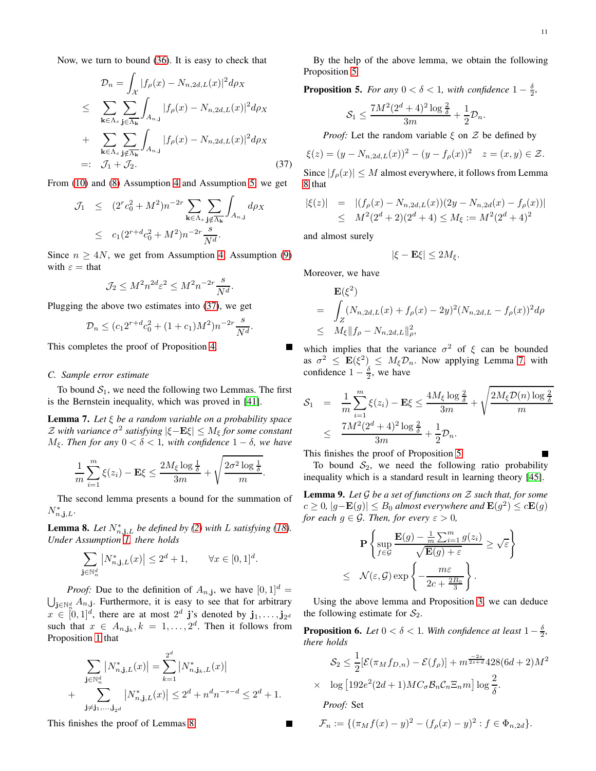Now, we turn to bound [\(36\)](#page-9-4). It is easy to check that

<span id="page-10-0"></span>
$$
\mathcal{D}_n = \int_{\mathcal{X}} |f_{\rho}(x) - N_{n,2d,L}(x)|^2 d\rho_X
$$
\n
$$
\leq \sum_{\mathbf{k} \in \Lambda_s} \sum_{\mathbf{j} \in \overline{\Lambda_{\mathbf{k}}}} \int_{A_{n,j}} |f_{\rho}(x) - N_{n,2d,L}(x)|^2 d\rho_X
$$
\n
$$
+ \sum_{\mathbf{k} \in \Lambda_s} \sum_{\mathbf{j} \notin \overline{\Lambda_{\mathbf{k}}}} \int_{A_{n,j}} |f_{\rho}(x) - N_{n,2d,L}(x)|^2 d\rho_X
$$
\n
$$
=: \mathcal{J}_1 + \mathcal{J}_2. \tag{37}
$$

From [\(10\)](#page-3-5) and [\(8\)](#page-2-3) Assumption [4](#page-4-3) and Assumption [5,](#page-4-4) we get

$$
\mathcal{J}_1 \leq (2^r c_0^2 + M^2) n^{-2r} \sum_{\mathbf{k} \in \Lambda_s} \sum_{\mathbf{j} \notin \overline{\Lambda}_{\mathbf{k}}} \int_{A_{n,\mathbf{j}}} d\rho_X
$$
  
 
$$
\leq c_1 (2^{r+d} c_0^2 + M^2) n^{-2r} \frac{s}{N^d}.
$$

Since  $n \geq 4N$ , we get from Assumption [4,](#page-4-3) Assumption [\(9\)](#page-2-4) with  $\varepsilon =$  that

$$
\mathcal{J}_2 \le M^2 n^{2d} \varepsilon^2 \le M^2 n^{-2r} \frac{s}{N^d}.
$$

Plugging the above two estimates into [\(37\)](#page-10-0), we get

$$
\mathcal{D}_n \le (c_1 2^{r+d} c_0^2 + (1+c_1)M^2) n^{-2r} \frac{s}{N^d}
$$

.

This completes the proof of Proposition [4.](#page-9-5)

## *C. Sample error estimate*

To bound  $S_1$ , we need the following two Lemmas. The first is the Bernstein inequality, which was proved in [\[41\]](#page-13-37).

<span id="page-10-3"></span>Lemma 7. *Let* ξ *be a random variable on a probability space*  $\mathcal Z$  with variance  $\sigma^2$  satisfying  $|\xi-\mathbf{E}\xi|\leq M_{\xi}$  for some constant  $M<sub>ξ</sub>$ *. Then for any* 0 < δ < 1*, with confidence* 1 − δ*, we have* 

$$
\frac{1}{m}\sum_{i=1}^{m}\xi(z_i)-\mathbf{E}\xi\leq \frac{2M_{\xi}\log\frac{1}{\delta}}{3m}+\sqrt{\frac{2\sigma^2\log\frac{1}{\delta}}{m}}.
$$

The second lemma presents a bound for the summation of  $N_{n,\mathbf{j},L}^*$ .

<span id="page-10-1"></span>**Lemma 8.** Let  $N^*_{n,j,L}$  be defined by [\(2\)](#page-1-0) with L satisfying [\(18\)](#page-4-6). *Under Assumption [1,](#page-3-0) there holds*

$$
\sum_{\mathbf{j}\in\mathbb{N}_n^d} |N_{n,\mathbf{j},L}^*(x)| \le 2^d + 1, \qquad \forall x \in [0,1]^d.
$$

*Proof:* Due to the definition of  $A_{n,j}$ , we have  $[0,1]^d$  =  $\bigcup_{\mathbf{j}\in\mathbb{N}_n^d} A_{n,\mathbf{j}}$ . Furthermore, it is easy to see that for arbitrary  $x \in [0, 1]^d$ , there are at most  $2^d$  j's denoted by  $\mathbf{j}_1, \ldots, \mathbf{j}_{2^d}$ such that  $x \in A_{n,j_k}, k = 1, \ldots, 2^d$ . Then it follows from Proposition [1](#page-1-2) that

$$
\sum_{\mathbf{j}\in\mathbb{N}_n^d} |N_{n,\mathbf{j},L}^*(x)| = \sum_{k=1}^{2^d} |N_{n,\mathbf{j}_k,L}^*(x)|
$$
  
+ 
$$
\sum_{\mathbf{j}\neq\mathbf{j}_1,\dots,\mathbf{j}_{2^d}} |N_{n,\mathbf{j},L}^*(x)| \le 2^d + n^d n^{-s-d} \le 2^d + 1.
$$

This finishes the proof of Lemmas [8.](#page-10-1)

By the help of the above lemma, we obtain the following Proposition [5.](#page-10-2)

<span id="page-10-2"></span>**Proposition 5.** For any  $0 < \delta < 1$ , with confidence  $1 - \frac{\delta}{2}$ ,

$$
\mathcal{S}_1 \leq \frac{7M^2(2^d+4)^2\log\frac{2}{\delta}}{3m} + \frac{1}{2}\mathcal{D}_n.
$$

*Proof:* Let the random variable  $\xi$  on  $\mathcal Z$  be defined by

$$
\xi(z) = (y - N_{n,2d,L}(x))^2 - (y - f_{\rho}(x))^2 \quad z = (x, y) \in \mathcal{Z}.
$$

Since  $|f_{\rho}(x)| \leq M$  almost everywhere, it follows from Lemma [8](#page-10-1) that

$$
|\xi(z)| = |(f_{\rho}(x) - N_{n,2d,L}(x))(2y - N_{n,2d}(x) - f_{\rho}(x))|
$$
  
\n
$$
\leq M^2(2^d + 2)(2^d + 4) \leq M_{\xi} := M^2(2^d + 4)^2
$$

and almost surely

$$
|\xi - \mathbf{E}\xi| \le 2M_{\xi}.
$$

Moreover, we have

$$
\mathbf{E}(\xi^2) \n= \int_Z (N_{n,2d,L}(x) + f_{\rho}(x) - 2y)^2 (N_{n,2d,L} - f_{\rho}(x))^2 d\rho \n\leq M_{\xi} ||f_{\rho} - N_{n,2d,L}||_{\rho}^2,
$$

which implies that the variance  $\sigma^2$  of  $\xi$  can be bounded as  $\sigma^2 \leq \mathbf{E}(\xi^2) \leq M_\xi \mathcal{D}_n$ . Now applying Lemma [7,](#page-10-3) with confidence  $1 - \frac{\delta}{2}$ , we have

$$
\mathcal{S}_1 = \frac{1}{m} \sum_{i=1}^m \xi(z_i) - \mathbf{E}\xi \le \frac{4M_\xi \log \frac{2}{\delta}}{3m} + \sqrt{\frac{2M_\xi \mathcal{D}(n) \log \frac{2}{\delta}}{m}}
$$

$$
\le \frac{7M^2(2^d+4)^2 \log \frac{2}{\delta}}{3m} + \frac{1}{2}\mathcal{D}_n.
$$

This finishes the proof of Proposition [5.](#page-10-2)

To bound  $S_2$ , we need the following ratio probability inequality which is a standard result in learning theory [\[45\]](#page-13-36).

<span id="page-10-4"></span>Lemma 9. *Let* G *be a set of functions on* Z *such that, for some*  $c ≥ 0$ ,  $|g - \mathbf{E}(g)| ≤ B_0$  almost everywhere and  $\mathbf{E}(g^2) ≤ c\mathbf{E}(g)$ *for each*  $g \in \mathcal{G}$ *. Then, for every*  $\varepsilon > 0$ *,* 

$$
\mathbf{P}\left\{\sup_{f\in\mathcal{G}}\frac{\mathbf{E}(g) - \frac{1}{m}\sum_{i=1}^{m}g(z_i)}{\sqrt{\mathbf{E}(g) + \varepsilon}} \ge \sqrt{\varepsilon}\right\}
$$
  
 
$$
\le \mathcal{N}(\varepsilon, \mathcal{G})\exp\left\{-\frac{m\varepsilon}{2c + \frac{2B_0}{3}}\right\}.
$$

Using the above lemma and Proposition [3,](#page-3-2) we can deduce the following estimate for  $S_2$ .

<span id="page-10-5"></span>**Proposition 6.** *Let*  $0 < \delta < 1$ *. With confidence at least*  $1 - \frac{\delta}{2}$ *, there holds*

$$
\mathcal{S}_2 \le \frac{1}{2} [\mathcal{E}(\pi_M f_{D,n}) - \mathcal{E}(f_{\rho})] + m^{\frac{-2s}{2s+d}} 428(6d+2)M^2
$$
  
 
$$
\times \quad \log [192e^2(2d+1)MC_{\sigma} \mathcal{B}_n \mathcal{C}_n \Xi_n m] \log \frac{2}{\delta}.
$$

*Proof:* Set

$$
\mathcal{F}_n := \{ (\pi_M f(x) - y)^2 - (f_\rho(x) - y)^2 : f \in \Phi_{n, 2d} \}.
$$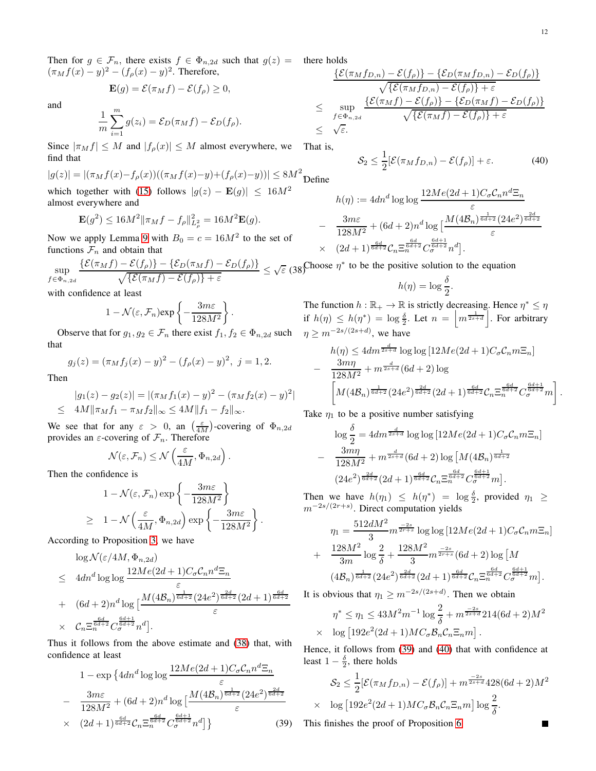) 2d  $6d+2$ 

Then for  $g \in \mathcal{F}_n$ , there exists  $f \in \Phi_{n,2d}$  such that  $g(z) =$  there holds  $(\pi_M f(x) - y)^2 - (f_\rho(x) - y)^2$ . Therefore,

$$
\mathbf{E}(g) = \mathcal{E}(\pi_M f) - \mathcal{E}(f_\rho) \ge 0,
$$

and

$$
\frac{1}{m}\sum_{i=1}^{m}g(z_i)=\mathcal{E}_D(\pi_Mf)-\mathcal{E}_D(f_\rho).
$$

Since  $|\pi_M f| \leq M$  and  $|f_{\rho}(x)| \leq M$  almost everywhere, we find that

$$
|g(z)| = |(\pi_M f(x) - f_\rho(x))((\pi_M f(x) - y) + (f_\rho(x) - y))| \le 8M^2
$$
 Define

which together with [\(15\)](#page-4-8) follows  $|g(z) - \mathbf{E}(g)| \leq 16M^2$ almost everywhere and

$$
\mathbf{E}(g^2) \le 16M^2 \|\pi_M f - f_\rho\|_{L^2_\rho}^2 = 16M^2 \mathbf{E}(g).
$$

Now we apply Lemma [9](#page-10-4) with  $B_0 = c = 16M^2$  to the set of functions  $\mathcal{F}_n$  and obtain that

<span id="page-11-0"></span>sup  $f \in \Phi_{n,2d}$  $\{\mathcal{E}(\pi_M f) - \mathcal{E}(f_\rho)\} - \{\mathcal{E}_D(\pi_M f) - \mathcal{E}_D(f_\rho)\}\$  $\frac{-\mathcal{E}(f_{\rho})\}-\{\mathcal{E}_{D}(\pi_{M}f)-\mathcal{E}_{D}(f_{\rho})\}}{\sqrt{\{\mathcal{E}(\pi_{M}f)-\mathcal{E}(f_{\rho})\}+\varepsilon}}\leq \sqrt{\varepsilon}$ (38) Choose  $\eta^*$  to be the positive solution to the equation

with confidence at least

$$
1 - \mathcal{N}(\varepsilon, \mathcal{F}_n) \exp\left\{-\frac{3m\varepsilon}{128M^2}\right\}.
$$

Observe that for  $g_1, g_2 \in \mathcal{F}_n$  there exist  $f_1, f_2 \in \Phi_{n,2d}$  such that

$$
g_j(z) = (\pi_M f_j(x) - y)^2 - (f_\rho(x) - y)^2, \ j = 1, 2.
$$

Then

$$
|g_1(z) - g_2(z)| = |(\pi_M f_1(x) - y)^2 - (\pi_M f_2(x) - y)^2|
$$
  
\n
$$
\leq 4M \|\pi_M f_1 - \pi_M f_2\|_{\infty} \leq 4M \|f_1 - f_2\|_{\infty}.
$$

We see that for any  $\varepsilon > 0$ , an  $\left(\frac{\varepsilon}{4M}\right)$ -covering of  $\Phi_{n,2d}$ provides an  $\varepsilon$ -covering of  $\mathcal{F}_n$ . Therefore

$$
\mathcal{N}(\varepsilon,\mathcal{F}_n)\leq \mathcal{N}\left(\frac{\varepsilon}{4M},\Phi_{n,2d}\right).
$$

Then the confidence is

$$
1 - \mathcal{N}(\varepsilon, \mathcal{F}_n) \exp\left\{-\frac{3m\varepsilon}{128M^2}\right\}
$$
  
\n
$$
\geq 1 - \mathcal{N}\left(\frac{\varepsilon}{4M}, \Phi_{n,2d}\right) \exp\left\{-\frac{3m\varepsilon}{128M^2}\right\}.
$$

According to Proposition [3,](#page-3-2) we have

$$
\log \mathcal{N}(\varepsilon/4M, \Phi_{n,2d})
$$
\n
$$
\leq 4dn^d \log \log \frac{12Me(2d+1)C_{\sigma}C_{n}n^d \Xi_n}{\varepsilon}
$$
\n
$$
+ (6d+2)n^d \log \left[\frac{M(4\mathcal{B}_n)^{\frac{1}{6d+2}}(24e^2)^{\frac{2d}{6d+2}}(2d+1)^{\frac{6d}{6d+2}}}{\varepsilon}\right]
$$
\n
$$
\times C_n \Xi_n^{\frac{6d}{6d+2}} C_{\sigma}^{\frac{6d+1}{6d+2}} n^d \right].
$$

Thus it follows from the above estimate and [\(38\)](#page-11-0) that, with confidence at least

<span id="page-11-1"></span>
$$
1 - \exp \left\{ 4dn^d \log \log \frac{12Me(2d+1)C_{\sigma}C_{n}n^d \Xi_n}{\varepsilon} \right\}
$$
  
- 
$$
\frac{3m\varepsilon}{128M^2} + (6d+2)n^d \log \left[ \frac{M(4B_n)^{\frac{1}{6d+2}} (24e^2)^{\frac{2d}{6d+2}}}{\varepsilon} \right]
$$
  
× 
$$
(2d+1)^{\frac{6d}{6d+2}} C_n \Xi_n^{\frac{6d}{6d+2}} C_n^{\frac{6d+1}{6d+2}} n^d \right\}
$$
 (39)

$$
\frac{\{\mathcal{E}(\pi_M f_{D,n}) - \mathcal{E}(f_{\rho})\} - \{\mathcal{E}_D(\pi_M f_{D,n}) - \mathcal{E}_D(f_{\rho})\}}{\sqrt{\{\mathcal{E}(\pi_M f_{D,n}) - \mathcal{E}(f_{\rho})\} + \varepsilon}}
$$
\n
$$
\leq \sup_{f \in \Phi_{n,2d}} \frac{\{\mathcal{E}(\pi_M f) - \mathcal{E}(f_{\rho})\} - \{\mathcal{E}_D(\pi_M f) - \mathcal{E}_D(f_{\rho})\}}{\sqrt{\{\mathcal{E}(\pi_M f) - \mathcal{E}(f_{\rho})\} + \varepsilon}}
$$
\n
$$
\leq \sqrt{\varepsilon}.
$$

That is,

−

<span id="page-11-2"></span>
$$
\mathcal{S}_2 \le \frac{1}{2} [\mathcal{E}(\pi_M f_{D,n}) - \mathcal{E}(f_\rho)] + \varepsilon. \tag{40}
$$

$$
h(\eta) := 4dn^d \log \log \frac{12Me(2d+1)C_{\sigma}C_n n^d \Xi_n}{\varepsilon}
$$

$$
-\frac{3m\varepsilon}{128M^2} + (6d+2)n^d \log \left[\frac{M(4\mathcal{B}_n)^{\frac{1}{6d+2}}(24e^2)}{\varepsilon}\right]
$$

$$
\times \quad (2d+1)^{\frac{6d}{6d+2}} \mathcal{C}_n \Xi_n^{\frac{6d}{6d+2}} C_{\sigma}^{\frac{6d+1}{6d+2}} n^d \big].
$$

$$
h(\eta) = \log \frac{\delta}{2}.
$$

The function  $h : \mathbb{R}_+ \to \mathbb{R}$  is strictly decreasing. Hence  $\eta^* \leq \eta$ if  $h(\eta) \leq h(\eta^*) = \log \frac{\delta}{2}$ . Let  $n = \left| m^{\frac{1}{2s+d}} \right|$ . For arbitrary  $\eta \geq m^{-2s/(2s+d)}$ , we have

$$
h(\eta) \le 4dm^{\frac{d}{2s+d}} \log \log [12Me(2d+1)C_{\sigma}C_{n}m\Xi_{n}]
$$
  
 
$$
-\frac{3m\eta}{128M^{2}} + m^{\frac{d}{2s+d}}(6d+2) \log
$$
  
\n
$$
\left[M(4\mathcal{B}_{n})^{\frac{1}{6d+2}}(24e^{2})^{\frac{2d}{6d+2}}(2d+1)^{\frac{6d}{6d+2}}C_{n}\Xi_{n}^{\frac{6d}{6d+2}}C_{\sigma}^{\frac{6d+1}{6d+2}}m\right].
$$

Take  $\eta_1$  to be a positive number satisfying

$$
\log \frac{\delta}{2} = 4dm^{\frac{d}{2s+d}} \log \log \left[ 12Me(2d+1)C_{\sigma}C_{n}m\Xi_{n} \right]
$$
  

$$
\frac{3m\eta}{128M^{2}} + m^{\frac{d}{2s+d}}(6d+2) \log \left[ M(4B_{n})^{\frac{1}{6d+2}} \right]
$$
  

$$
(24e^{2})^{\frac{2d}{6d+2}}(2d+1)^{\frac{6d}{6d+2}}C_{n}\Xi_{n}^{\frac{6d}{6d+2}}C_{\sigma}^{\frac{6d+1}{6d+2}}m \right].
$$

Then we have  $h(\eta_1) \leq h(\eta^*) = \log \frac{\delta}{2}$ , provided  $\eta_1 \geq$  $m^{-2s/(2r+s)}$ . Direct computation yields

$$
\eta_1 = \frac{512dM^2}{3} m^{\frac{-2s}{2r+s}} \log \log \left[ 12Me(2d+1)C_{\sigma}C_n m \Xi_n \right]
$$
  
+ 
$$
\frac{128M^2}{3m} \log \frac{2}{\delta} + \frac{128M^2}{3} m^{\frac{-2s}{2r+s}} (6d+2) \log \left[ M \right]
$$
  

$$
(4\mathcal{B}_n)^{\frac{1}{6d+2}} (24e^2)^{\frac{2d}{6d+2}} (2d+1)^{\frac{6d}{6d+2}} C_n \Xi_n^{\frac{6d}{6d+2}} C_{\sigma}^{\frac{6d+1}{6d+2}} m \right].
$$

It is obvious that  $\eta_1 \geq m^{-2s/(2s+d)}$ . Then we obtain

$$
\eta^* \le \eta_1 \le 43M^2m^{-1}\log\frac{2}{\delta} + m^{\frac{-2s}{2s+d}}214(6d+2)M^2
$$
  
 
$$
\times \log[192e^2(2d+1)MC_\sigma\mathcal{B}_n\mathcal{C}_n\Xi_n m].
$$

Hence, it follows from [\(39\)](#page-11-1) and [\(40\)](#page-11-2) that with confidence at least  $1 - \frac{\delta}{2}$ , there holds

$$
\mathcal{S}_2 \le \frac{1}{2} [\mathcal{E}(\pi_M f_{D,n}) - \mathcal{E}(f_{\rho})] + m^{\frac{-2s}{2s+d}} 428(6d+2)M^2
$$
  
 
$$
\times \quad \log [192e^2(2d+1)MC_{\sigma} \mathcal{B}_n \mathcal{C}_n \Xi_n m] \log \frac{2}{\delta}.
$$

Г

This finishes the proof of Proposition [6.](#page-10-5)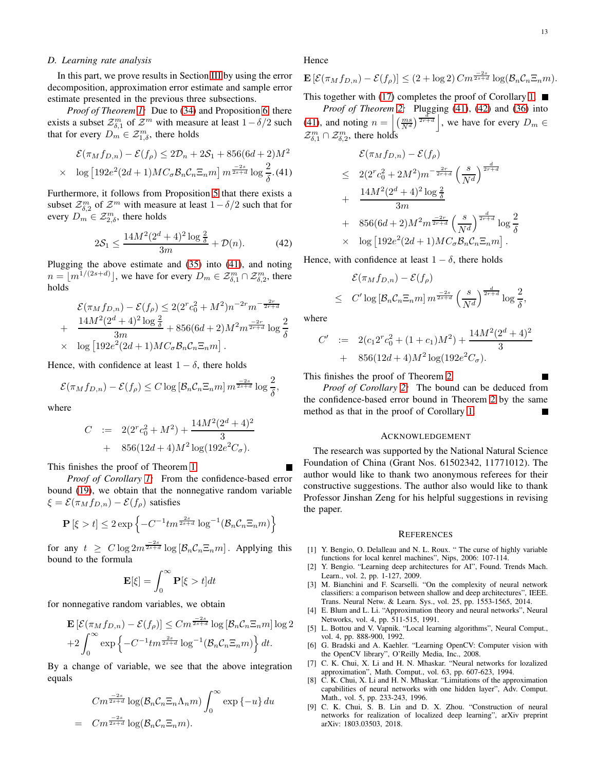#### *D. Learning rate analysis*

In this part, we prove results in Section [III](#page-4-0) by using the error decomposition, approximation error estimate and sample error estimate presented in the previous three subsections.

*Proof of Theorem [1:](#page-5-1)* Due to [\(34\)](#page-9-6) and Proposition [6,](#page-10-5) there exists a subset  $\mathcal{Z}_{\delta,1}^m$  of  $\mathcal{Z}^m$  with measure at least  $1-\delta/2$  such that for every  $D_m \in \mathcal{Z}_{1,\delta}^m$ , there holds

<span id="page-12-9"></span>
$$
\mathcal{E}(\pi_M f_{D,n}) - \mathcal{E}(f_\rho) \le 2\mathcal{D}_n + 2\mathcal{S}_1 + 856(6d+2)M^2
$$
  
 
$$
\times \quad \log\left[192e^2(2d+1)MC_\sigma\mathcal{B}_n\mathcal{C}_n\Xi_n m\right] m^{\frac{-2s}{2s+d}}\log\frac{2}{\delta}.
$$
(41)

Furthermore, it follows from Proposition [5](#page-10-2) that there exists a subset  $\mathcal{Z}_{\delta,2}^m$  of  $\mathcal{Z}^m$  with measure at least  $1-\delta/2$  such that for every  $D_m \in \mathcal{Z}^m_{2,\delta}$ , there holds

<span id="page-12-10"></span>
$$
2S_1 \le \frac{14M^2(2^d+4)^2\log\frac{2}{\delta}}{3m} + \mathcal{D}(n). \tag{42}
$$

Plugging the above estimate and [\(35\)](#page-9-3) into [\(41\)](#page-12-9), and noting  $n = \lfloor m^{1/(2s+d)} \rfloor$ , we have for every  $D_m \in \mathcal{Z}_{\delta,1}^m \cap \mathcal{Z}_{\delta,2}^m$ , there holds

$$
\mathcal{E}(\pi_M f_{D,n}) - \mathcal{E}(f_{\rho}) \le 2(2^r c_0^2 + M^2) n^{-2r} m^{-\frac{2r}{2r+d}}
$$
  
+ 
$$
\frac{14M^2(2^d + 4)^2 \log \frac{2}{\delta}}{3m} + 856(6d + 2) M^2 m^{\frac{-2r}{2r+d}} \log \frac{2}{\delta}
$$
  
× 
$$
\log [192e^2(2d+1)MC_{\sigma} \mathcal{B}_n \mathcal{C}_n \Xi_n m].
$$

Hence, with confidence at least  $1 - \delta$ , there holds

$$
\mathcal{E}(\pi_M f_{D,n}) - \mathcal{E}(f_{\rho}) \le C \log \left[\mathcal{B}_n \mathcal{C}_n \Xi_n m\right] m^{\frac{-2s}{2s+d}} \log \frac{2}{\delta},
$$

where

$$
C := 2(2^r c_0^2 + M^2) + \frac{14M^2(2^d + 4)^2}{3} + 856(12d + 4)M^2 \log(192e^2 C_{\sigma}).
$$

This finishes the proof of Theorem [1.](#page-5-1)

*Proof of Corollary [1:](#page-5-2)* From the confidence-based error bound [\(19\)](#page-5-4), we obtain that the nonnegative random variable  $\xi = \mathcal{E}(\pi_M f_{D,n}) - \mathcal{E}(f_\rho)$  satisfies

$$
\mathbf{P}\left[\xi > t\right] \leq 2\exp\left\{-C^{-1}tm^{\frac{2s}{2s+d}}\log^{-1}(\mathcal{B}_n\mathcal{C}_n\Xi_n m)\right\}
$$

for any  $t \geq C \log 2m^{\frac{-2s}{2s+d}} \log [\mathcal{B}_n C_n \Xi_n m]$ . Applying this bound to the formula

$$
\mathbf{E}[\xi] = \int_0^\infty \mathbf{P}[\xi > t] dt
$$

for nonnegative random variables, we obtain

$$
\mathbf{E}\left[\mathcal{E}(\pi_M f_{D,n}) - \mathcal{E}(f_{\rho})\right] \leq C m^{\frac{-2s}{2s+d}} \log \left[\mathcal{B}_n \mathcal{C}_n \Xi_n m\right] \log 2
$$
  
+2
$$
\int_0^\infty \exp \left\{-C^{-1}tm^{\frac{2s}{2s+d}} \log^{-1}(\mathcal{B}_n \mathcal{C}_n \Xi_n m)\right\} dt.
$$

By a change of variable, we see that the above integration equals

$$
Cm^{\frac{-2s}{2s+d}}\log(\mathcal{B}_nC_n\Xi_n\Lambda_n m)\int_0^\infty \exp\{-u\} du
$$
  
= 
$$
Cm^{\frac{-2s}{2s+d}}\log(\mathcal{B}_nC_n\Xi_n m).
$$

Hence

$$
\mathbf{E}\left[\mathcal{E}(\pi_M f_{D,n}) - \mathcal{E}(f_{\rho})\right] \le (2 + \log 2) C m^{\frac{-2s}{2s+d}} \log(\mathcal{B}_n C_n \Xi_n m).
$$

This together with [\(17\)](#page-4-7) completes the proof of Corollary [1.](#page-5-2)  $\blacksquare$ 

*Proof of Theorem [2:](#page-5-3)* Plugging [\(41\)](#page-12-9), [\(42\)](#page-12-10) and [\(36\)](#page-9-4) into [\(41\)](#page-12-9), and noting  $n = \left| \left( \frac{ms}{N^d} \right)^{\frac{d}{2r+d}} \right|$ , we have for every  $D_m \in$  $\mathcal{Z}_{\delta,1}^m \cap \mathcal{Z}_{\delta,2}^m$ , there holds

$$
\mathcal{E}(\pi_M f_{D,n}) - \mathcal{E}(f_{\rho})
$$
\n
$$
\leq 2(2^r c_0^2 + 2M^2)m^{-\frac{2r}{2r+d}} \left(\frac{s}{N^d}\right)^{\frac{d}{2r+d}}
$$
\n
$$
+ \frac{14M^2(2^d + 4)^2 \log \frac{2}{\delta}}{3m}
$$
\n
$$
+ 856(6d + 2)M^2m^{\frac{-2r}{2r+d}} \left(\frac{s}{N^d}\right)^{\frac{d}{2r+d}} \log \frac{2}{\delta}
$$
\n
$$
\times \log \left[192e^2(2d+1)MC_\sigma \mathcal{B}_n C_n \Xi_n m\right].
$$

Hence, with confidence at least  $1 - \delta$ , there holds

$$
\mathcal{E}(\pi_M f_{D,n}) - \mathcal{E}(f_{\rho})
$$
  
\n
$$
\leq C' \log [\mathcal{B}_n C_n \Xi_n m] m^{\frac{-2s}{2s+d}} \left(\frac{s}{N^d}\right)^{\frac{d}{2r+d}} \log \frac{2}{\delta},
$$

where

$$
C' := 2(c_1 2^r c_0^2 + (1 + c_1) M^2) + \frac{14 M^2 (2^d + 4)^2}{3}
$$
  
+ 856(12d + 4)M^2 log(192e<sup>2</sup>C<sub>σ</sub>).

This finishes the proof of Theorem [2.](#page-5-3)

*Proof of Corollary [2:](#page-5-5)* The bound can be deduced from the confidence-based error bound in Theorem [2](#page-5-3) by the same method as that in the proof of Corollary [1.](#page-5-2) Г

#### ACKNOWLEDGEMENT

The research was supported by the National Natural Science Foundation of China (Grant Nos. 61502342, 11771012). The author would like to thank two anonymous referees for their constructive suggestions. The author also would like to thank Professor Jinshan Zeng for his helpful suggestions in revising the paper.

#### **REFERENCES**

- <span id="page-12-7"></span>[1] Y. Bengio, O. Delalleau and N. L. Roux. " The curse of highly variable functions for local kenrel machines", Nips, 2006: 107-114.
- <span id="page-12-0"></span>[2] Y. Bengio. "Learning deep architectures for AI", Found. Trends Mach. Learn., vol. 2, pp. 1-127, 2009.
- <span id="page-12-1"></span>[3] M. Bianchini and F. Scarselli. "On the complexity of neural network classifiers: a comparison between shallow and deep architectures", IEEE. Trans. Neural Netw. & Learn. Sys., vol. 25, pp. 1553-1565, 2014.
- <span id="page-12-3"></span>[4] E. Blum and L. Li. "Approximation theory and neural networks", Neural Networks, vol. 4, pp. 511-515, 1991.
- <span id="page-12-8"></span>[5] L. Bottou and V. Vapnik. "Local learning algorithms", Neural Comput., vol. 4, pp. 888-900, 1992.
- <span id="page-12-5"></span>[6] G. Bradski and A. Kaehler. "Learning OpenCV: Computer vision with the OpenCV library", O'Reilly Media, Inc., 2008.
- <span id="page-12-2"></span>[7] C. K. Chui, X. Li and H. N. Mhaskar. "Neural networks for lozalized approximation", Math. Comput., vol. 63, pp. 607-623, 1994.
- <span id="page-12-6"></span>[8] C. K. Chui, X. Li and H. N. Mhaskar. "Limitations of the approximation capabilities of neural networks with one hidden layer", Adv. Comput. Math., vol. 5, pp. 233-243, 1996.
- <span id="page-12-4"></span>[9] C. K. Chui, S. B. Lin and D. X. Zhou. "Construction of neural networks for realization of localized deep learning", arXiv preprint arXiv: 1803.03503, 2018.